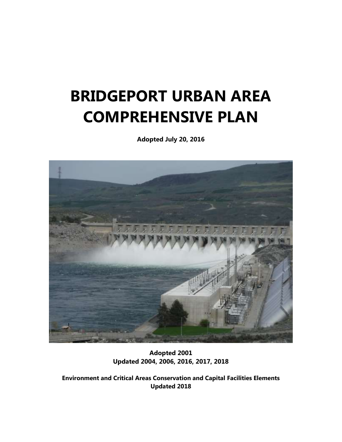# **BRIDGEPORT URBAN AREA COMPREHENSIVE PLAN**

**Adopted July 20, 2016**



**Adopted 2001 Updated 2004, 2006, 2016, 2017, 2018**

**Environment and Critical Areas Conservation and Capital Facilities Elements Updated 2018**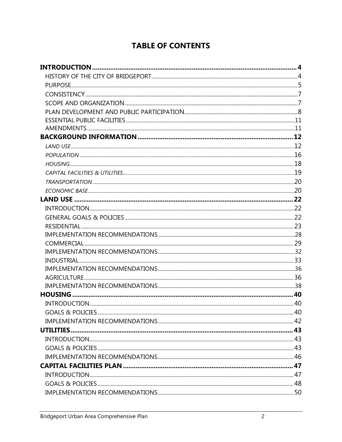# **TABLE OF CONTENTS**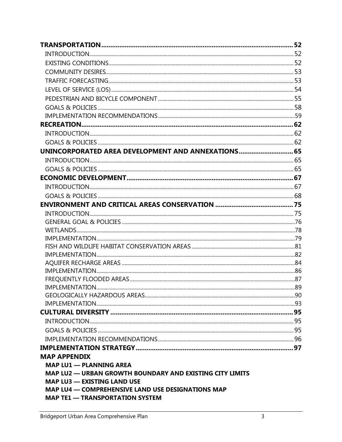| UNINCORPORATED AREA DEVELOPMENT AND ANNEXATIONS 65              |  |
|-----------------------------------------------------------------|--|
|                                                                 |  |
|                                                                 |  |
|                                                                 |  |
|                                                                 |  |
|                                                                 |  |
|                                                                 |  |
|                                                                 |  |
|                                                                 |  |
|                                                                 |  |
|                                                                 |  |
|                                                                 |  |
|                                                                 |  |
|                                                                 |  |
|                                                                 |  |
|                                                                 |  |
|                                                                 |  |
|                                                                 |  |
|                                                                 |  |
|                                                                 |  |
|                                                                 |  |
|                                                                 |  |
|                                                                 |  |
| <b>MAP APPENDIX</b>                                             |  |
| <b>MAP LU1 - PLANNING AREA</b>                                  |  |
| <b>MAP LU2 — URBAN GROWTH BOUNDARY AND EXISTING CITY LIMITS</b> |  |
| <b>MAP LU3 - EXISTING LAND USE</b>                              |  |
| <b>MAP LU4 - COMPREHENSIVE LAND USE DESIGNATIONS MAP</b>        |  |
| <b>MAP TE1 — TRANSPORTATION SYSTEM</b>                          |  |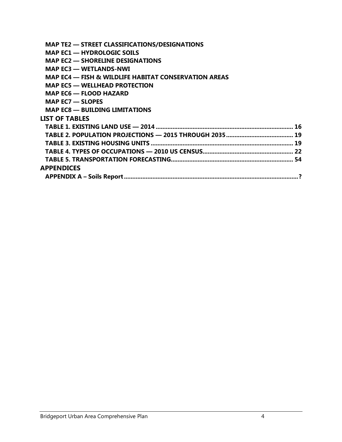| <b>MAP TE2 — STREET CLASSIFICATIONS/DESIGNATIONS</b>            |  |
|-----------------------------------------------------------------|--|
| <b>MAP EC1 - HYDROLOGIC SOILS</b>                               |  |
|                                                                 |  |
| <b>MAP EC2 — SHORELINE DESIGNATIONS</b>                         |  |
| <b>MAP EC3 — WETLANDS-NWI</b>                                   |  |
| <b>MAP EC4 — FISH &amp; WILDLIFE HABITAT CONSERVATION AREAS</b> |  |
| <b>MAP EC5 — WELLHEAD PROTECTION</b>                            |  |
| <b>MAP EC6 — FLOOD HAZARD</b>                                   |  |
| MAP $EC7 - SLOPES$                                              |  |
| <b>MAP EC8 - BUILDING LIMITATIONS</b>                           |  |
| <b>LIST OF TABLES</b>                                           |  |
|                                                                 |  |
|                                                                 |  |
|                                                                 |  |
|                                                                 |  |
|                                                                 |  |
| <b>APPENDICES</b>                                               |  |
|                                                                 |  |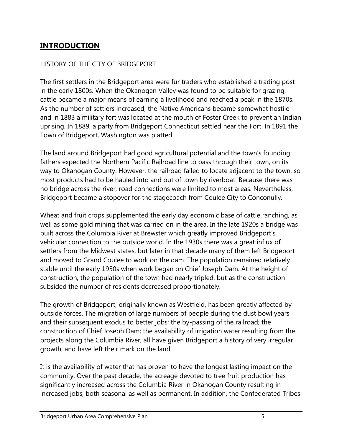# **INTRODUCTION**

#### HISTORY OF THE CITY OF BRIDGEPORT

The first settlers in the Bridgeport area were fur traders who established a trading post in the early 1800s. When the Okanogan Valley was found to be suitable for grazing, cattle became a major means of earning a livelihood and reached a peak in the 1870s. As the number of settlers increased, the Native Americans became somewhat hostile and in 1883 a military fort was located at the mouth of Foster Creek to prevent an Indian uprising. In 1889, a party from Bridgeport Connecticut settled near the Fort. In 1891 the Town of Bridgeport, Washington was platted.

The land around Bridgeport had good agricultural potential and the town's founding fathers expected the Northern Pacific Railroad line to pass through their town, on its way to Okanogan County. However, the railroad failed to locate adjacent to the town, so most products had to be hauled into and out of town by riverboat. Because there was no bridge across the river, road connections were limited to most areas. Nevertheless, Bridgeport became a stopover for the stagecoach from Coulee City to Conconully.

Wheat and fruit crops supplemented the early day economic base of cattle ranching, as well as some gold mining that was carried on in the area. In the late 1920s a bridge was built across the Columbia River at Brewster which greatly improved Bridgeport's vehicular connection to the outside world. In the 1930s there was a great influx of settlers from the Midwest states, but later in that decade many of them left Bridgeport and moved to Grand Coulee to work on the dam. The population remained relatively stable until the early 1950s when work began on Chief Joseph Dam. At the height of construction, the population of the town had nearly tripled, but as the construction subsided the number of residents decreased proportionately.

The growth of Bridgeport, originally known as Westfield, has been greatly affected by outside forces. The migration of large numbers of people during the dust bowl years and their subsequent exodus to better jobs; the by-passing of the railroad; the construction of Chief Joseph Dam; the availability of irrigation water resulting from the projects along the Columbia River; all have given Bridgeport a history of very irregular growth, and have left their mark on the land.

It is the availability of water that has proven to have the longest lasting impact on the community. Over the past decade, the acreage devoted to tree fruit production has significantly increased across the Columbia River in Okanogan County resulting in increased jobs, both seasonal as well as permanent. In addition, the Confederated Tribes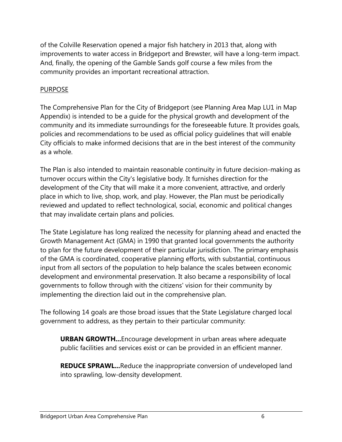of the Colville Reservation opened a major fish hatchery in 2013 that, along with improvements to water access in Bridgeport and Brewster, will have a long-term impact. And, finally, the opening of the Gamble Sands golf course a few miles from the community provides an important recreational attraction.

# PURPOSE

The Comprehensive Plan for the City of Bridgeport (see Planning Area Map LU1 in Map Appendix) is intended to be a guide for the physical growth and development of the community and its immediate surroundings for the foreseeable future. It provides goals, policies and recommendations to be used as official policy guidelines that will enable City officials to make informed decisions that are in the best interest of the community as a whole.

The Plan is also intended to maintain reasonable continuity in future decision-making as turnover occurs within the City's legislative body. It furnishes direction for the development of the City that will make it a more convenient, attractive, and orderly place in which to live, shop, work, and play. However, the Plan must be periodically reviewed and updated to reflect technological, social, economic and political changes that may invalidate certain plans and policies.

The State Legislature has long realized the necessity for planning ahead and enacted the Growth Management Act (GMA) in 1990 that granted local governments the authority to plan for the future development of their particular jurisdiction. The primary emphasis of the GMA is coordinated, cooperative planning efforts, with substantial, continuous input from all sectors of the population to help balance the scales between economic development and environmental preservation. It also became a responsibility of local governments to follow through with the citizens' vision for their community by implementing the direction laid out in the comprehensive plan.

The following 14 goals are those broad issues that the State Legislature charged local government to address, as they pertain to their particular community:

**URBAN GROWTH...**Encourage development in urban areas where adequate public facilities and services exist or can be provided in an efficient manner.

**REDUCE SPRAWL...**Reduce the inappropriate conversion of undeveloped land into sprawling, low-density development.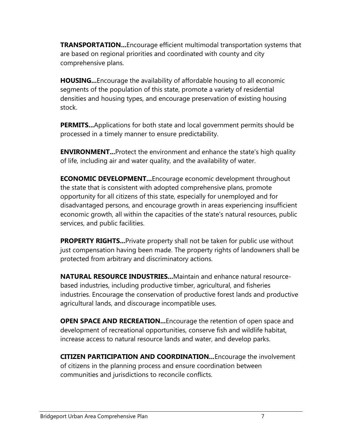**TRANSPORTATION...**Encourage efficient multimodal transportation systems that are based on regional priorities and coordinated with county and city comprehensive plans.

**HOUSING...**Encourage the availability of affordable housing to all economic segments of the population of this state, promote a variety of residential densities and housing types, and encourage preservation of existing housing stock.

**PERMITS...**Applications for both state and local government permits should be processed in a timely manner to ensure predictability.

**ENVIRONMENT...**Protect the environment and enhance the state's high quality of life, including air and water quality, and the availability of water.

**ECONOMIC DEVELOPMENT...**Encourage economic development throughout the state that is consistent with adopted comprehensive plans, promote opportunity for all citizens of this state, especially for unemployed and for disadvantaged persons, and encourage growth in areas experiencing insufficient economic growth, all within the capacities of the state's natural resources, public services, and public facilities.

**PROPERTY RIGHTS...**Private property shall not be taken for public use without just compensation having been made. The property rights of landowners shall be protected from arbitrary and discriminatory actions.

**NATURAL RESOURCE INDUSTRIES...**Maintain and enhance natural resourcebased industries, including productive timber, agricultural, and fisheries industries. Encourage the conservation of productive forest lands and productive agricultural lands, and discourage incompatible uses.

**OPEN SPACE AND RECREATION...** Encourage the retention of open space and development of recreational opportunities, conserve fish and wildlife habitat, increase access to natural resource lands and water, and develop parks.

**CITIZEN PARTICIPATION AND COORDINATION...**Encourage the involvement of citizens in the planning process and ensure coordination between communities and jurisdictions to reconcile conflicts.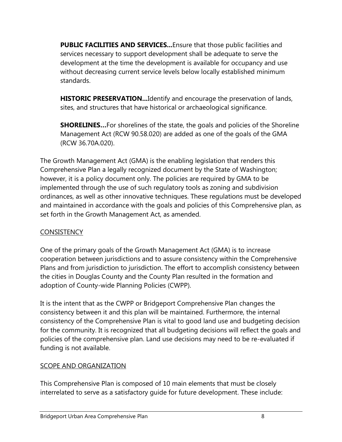**PUBLIC FACILITIES AND SERVICES...** Ensure that those public facilities and services necessary to support development shall be adequate to serve the development at the time the development is available for occupancy and use without decreasing current service levels below locally established minimum standards.

**HISTORIC PRESERVATION...**Identify and encourage the preservation of lands, sites, and structures that have historical or archaeological significance.

**SHORELINES...**For shorelines of the state, the goals and policies of the Shoreline Management Act (RCW 90.58.020) are added as one of the goals of the GMA (RCW 36.70A.020).

The Growth Management Act (GMA) is the enabling legislation that renders this Comprehensive Plan a legally recognized document by the State of Washington; however, it is a policy document only. The policies are required by GMA to be implemented through the use of such regulatory tools as zoning and subdivision ordinances, as well as other innovative techniques. These regulations must be developed and maintained in accordance with the goals and policies of this Comprehensive plan, as set forth in the Growth Management Act, as amended.

# **CONSISTENCY**

One of the primary goals of the Growth Management Act (GMA) is to increase cooperation between jurisdictions and to assure consistency within the Comprehensive Plans and from jurisdiction to jurisdiction. The effort to accomplish consistency between the cities in Douglas County and the County Plan resulted in the formation and adoption of County-wide Planning Policies (CWPP).

It is the intent that as the CWPP or Bridgeport Comprehensive Plan changes the consistency between it and this plan will be maintained. Furthermore, the internal consistency of the Comprehensive Plan is vital to good land use and budgeting decision for the community. It is recognized that all budgeting decisions will reflect the goals and policies of the comprehensive plan. Land use decisions may need to be re-evaluated if funding is not available.

# SCOPE AND ORGANIZATION

This Comprehensive Plan is composed of 10 main elements that must be closely interrelated to serve as a satisfactory guide for future development. These include: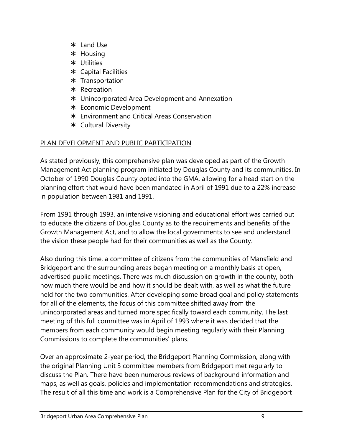- Land Use
- \* Housing
- Utilities
- Capital Facilities
- \* Transportation
- \* Recreation
- Unincorporated Area Development and Annexation
- Economic Development
- Environment and Critical Areas Conservation
- Cultural Diversity

# PLAN DEVELOPMENT AND PUBLIC PARTICIPATION

As stated previously, this comprehensive plan was developed as part of the Growth Management Act planning program initiated by Douglas County and its communities. In October of 1990 Douglas County opted into the GMA, allowing for a head start on the planning effort that would have been mandated in April of 1991 due to a 22% increase in population between 1981 and 1991.

From 1991 through 1993, an intensive visioning and educational effort was carried out to educate the citizens of Douglas County as to the requirements and benefits of the Growth Management Act, and to allow the local governments to see and understand the vision these people had for their communities as well as the County.

Also during this time, a committee of citizens from the communities of Mansfield and Bridgeport and the surrounding areas began meeting on a monthly basis at open, advertised public meetings. There was much discussion on growth in the county, both how much there would be and how it should be dealt with, as well as what the future held for the two communities. After developing some broad goal and policy statements for all of the elements, the focus of this committee shifted away from the unincorporated areas and turned more specifically toward each community. The last meeting of this full committee was in April of 1993 where it was decided that the members from each community would begin meeting regularly with their Planning Commissions to complete the communities' plans.

Over an approximate 2-year period, the Bridgeport Planning Commission, along with the original Planning Unit 3 committee members from Bridgeport met regularly to discuss the Plan. There have been numerous reviews of background information and maps, as well as goals, policies and implementation recommendations and strategies. The result of all this time and work is a Comprehensive Plan for the City of Bridgeport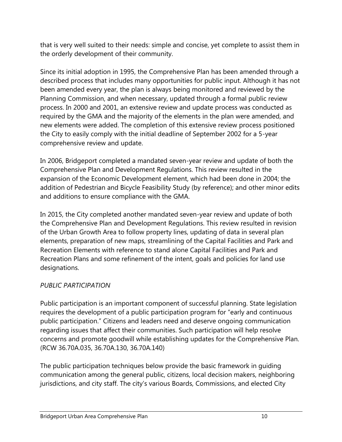that is very well suited to their needs: simple and concise, yet complete to assist them in the orderly development of their community.

Since its initial adoption in 1995, the Comprehensive Plan has been amended through a described process that includes many opportunities for public input. Although it has not been amended every year, the plan is always being monitored and reviewed by the Planning Commission, and when necessary, updated through a formal public review process. In 2000 and 2001, an extensive review and update process was conducted as required by the GMA and the majority of the elements in the plan were amended, and new elements were added. The completion of this extensive review process positioned the City to easily comply with the initial deadline of September 2002 for a 5-year comprehensive review and update.

In 2006, Bridgeport completed a mandated seven-year review and update of both the Comprehensive Plan and Development Regulations. This review resulted in the expansion of the Economic Development element, which had been done in 2004; the addition of Pedestrian and Bicycle Feasibility Study (by reference); and other minor edits and additions to ensure compliance with the GMA.

In 2015, the City completed another mandated seven-year review and update of both the Comprehensive Plan and Development Regulations. This review resulted in revision of the Urban Growth Area to follow property lines, updating of data in several plan elements, preparation of new maps, streamlining of the Capital Facilities and Park and Recreation Elements with reference to stand alone Capital Facilities and Park and Recreation Plans and some refinement of the intent, goals and policies for land use designations.

# *PUBLIC PARTICIPATION*

Public participation is an important component of successful planning. State legislation requires the development of a public participation program for "early and continuous public participation." Citizens and leaders need and deserve ongoing communication regarding issues that affect their communities. Such participation will help resolve concerns and promote goodwill while establishing updates for the Comprehensive Plan. (RCW 36.70A.035, 36.70A.130, 36.70A.140)

The public participation techniques below provide the basic framework in guiding communication among the general public, citizens, local decision makers, neighboring jurisdictions, and city staff. The city's various Boards, Commissions, and elected City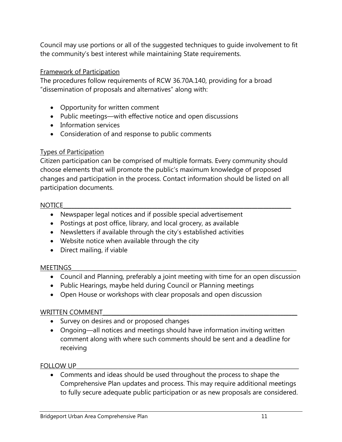Council may use portions or all of the suggested techniques to guide involvement to fit the community's best interest while maintaining State requirements.

## Framework of Participation

The procedures follow requirements of RCW 36.70A.140, providing for a broad "dissemination of proposals and alternatives" along with:

- Opportunity for written comment
- Public meetings—with effective notice and open discussions
- Information services
- Consideration of and response to public comments

# Types of Participation

Citizen participation can be comprised of multiple formats. Every community should choose elements that will promote the public's maximum knowledge of proposed changes and participation in the process. Contact information should be listed on all participation documents.

#### NOTICE\_\_\_\_\_\_\_\_\_\_\_\_\_\_\_\_\_\_\_\_\_\_\_\_\_\_\_\_\_\_\_\_\_\_\_\_\_\_\_\_\_\_\_\_\_\_\_\_\_\_\_\_\_\_\_\_\_\_\_\_\_\_\_\_\_\_\_\_\_\_\_\_\_\_\_\_\_\_\_\_\_\_

- Newspaper legal notices and if possible special advertisement
- Postings at post office, library, and local grocery, as available
- Newsletters if available through the city's established activities
- Website notice when available through the city
- Direct mailing, if viable

#### MEETINGS\_\_\_\_\_\_\_\_\_\_\_\_\_\_\_\_\_\_\_\_\_\_\_\_\_\_\_\_\_\_\_\_\_\_\_\_\_\_\_\_\_\_\_\_\_\_\_\_\_\_\_\_\_\_\_\_\_\_\_\_\_\_\_\_\_\_\_\_\_\_\_\_\_\_\_\_\_\_\_\_\_

- Council and Planning, preferably a joint meeting with time for an open discussion
- Public Hearings, maybe held during Council or Planning meetings
- Open House or workshops with clear proposals and open discussion

# WRITTEN COMMENT

- Survey on desires and or proposed changes
- Ongoing—all notices and meetings should have information inviting written comment along with where such comments should be sent and a deadline for receiving

# FOLLOW UP

 Comments and ideas should be used throughout the process to shape the Comprehensive Plan updates and process. This may require additional meetings to fully secure adequate public participation or as new proposals are considered.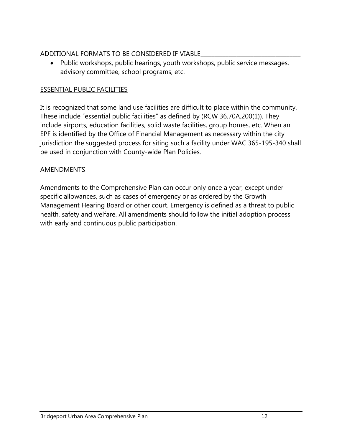# ADDITIONAL FORMATS TO BE CONSIDERED IF VIABLE

 Public workshops, public hearings, youth workshops, public service messages, advisory committee, school programs, etc.

# ESSENTIAL PUBLIC FACILITIES

It is recognized that some land use facilities are difficult to place within the community. These include "essential public facilities" as defined by (RCW 36.70A.200(1)). They include airports, education facilities, solid waste facilities, group homes, etc. When an EPF is identified by the Office of Financial Management as necessary within the city jurisdiction the suggested process for siting such a facility under WAC 365-195-340 shall be used in conjunction with County-wide Plan Policies.

# **AMENDMENTS**

Amendments to the Comprehensive Plan can occur only once a year, except under specific allowances, such as cases of emergency or as ordered by the Growth Management Hearing Board or other court. Emergency is defined as a threat to public health, safety and welfare. All amendments should follow the initial adoption process with early and continuous public participation.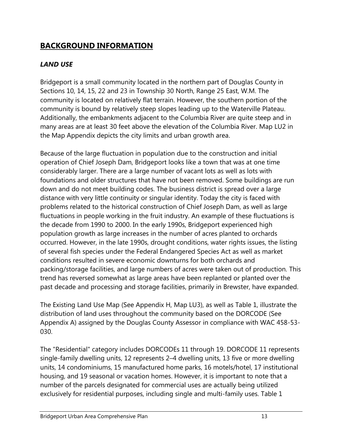# **BACKGROUND INFORMATION**

# *LAND USE*

Bridgeport is a small community located in the northern part of Douglas County in Sections 10, 14, 15, 22 and 23 in Township 30 North, Range 25 East, W.M. The community is located on relatively flat terrain. However, the southern portion of the community is bound by relatively steep slopes leading up to the Waterville Plateau. Additionally, the embankments adjacent to the Columbia River are quite steep and in many areas are at least 30 feet above the elevation of the Columbia River. Map LU2 in the Map Appendix depicts the city limits and urban growth area.

Because of the large fluctuation in population due to the construction and initial operation of Chief Joseph Dam, Bridgeport looks like a town that was at one time considerably larger. There are a large number of vacant lots as well as lots with foundations and older structures that have not been removed. Some buildings are run down and do not meet building codes. The business district is spread over a large distance with very little continuity or singular identity. Today the city is faced with problems related to the historical construction of Chief Joseph Dam, as well as large fluctuations in people working in the fruit industry. An example of these fluctuations is the decade from 1990 to 2000. In the early 1990s, Bridgeport experienced high population growth as large increases in the number of acres planted to orchards occurred. However, in the late 1990s, drought conditions, water rights issues, the listing of several fish species under the Federal Endangered Species Act as well as market conditions resulted in severe economic downturns for both orchards and packing/storage facilities, and large numbers of acres were taken out of production. This trend has reversed somewhat as large areas have been replanted or planted over the past decade and processing and storage facilities, primarily in Brewster, have expanded.

The Existing Land Use Map (See Appendix H, Map LU3), as well as Table 1, illustrate the distribution of land uses throughout the community based on the DORCODE (See Appendix A) assigned by the Douglas County Assessor in compliance with WAC 458-53- 030.

The "Residential" category includes DORCODEs 11 through 19. DORCODE 11 represents single-family dwelling units, 12 represents 2–4 dwelling units, 13 five or more dwelling units, 14 condominiums, 15 manufactured home parks, 16 motels/hotel, 17 institutional housing, and 19 seasonal or vacation homes. However, it is important to note that a number of the parcels designated for commercial uses are actually being utilized exclusively for residential purposes, including single and multi-family uses. Table 1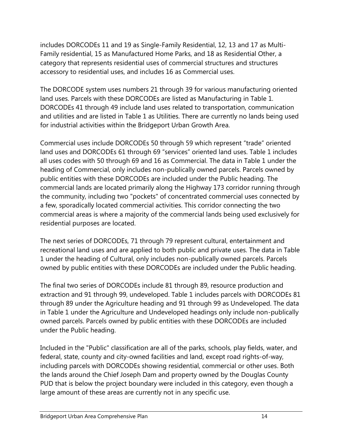includes DORCODEs 11 and 19 as Single-Family Residential, 12, 13 and 17 as Multi-Family residential, 15 as Manufactured Home Parks, and 18 as Residential Other, a category that represents residential uses of commercial structures and structures accessory to residential uses, and includes 16 as Commercial uses.

The DORCODE system uses numbers 21 through 39 for various manufacturing oriented land uses. Parcels with these DORCODEs are listed as Manufacturing in Table 1. DORCODEs 41 through 49 include land uses related to transportation, communication and utilities and are listed in Table 1 as Utilities. There are currently no lands being used for industrial activities within the Bridgeport Urban Growth Area.

Commercial uses include DORCODEs 50 through 59 which represent "trade" oriented land uses and DORCODEs 61 through 69 "services" oriented land uses. Table 1 includes all uses codes with 50 through 69 and 16 as Commercial. The data in Table 1 under the heading of Commercial, only includes non-publically owned parcels. Parcels owned by public entities with these DORCODEs are included under the Public heading. The commercial lands are located primarily along the Highway 173 corridor running through the community, including two "pockets" of concentrated commercial uses connected by a few, sporadically located commercial activities. This corridor connecting the two commercial areas is where a majority of the commercial lands being used exclusively for residential purposes are located.

The next series of DORCODEs, 71 through 79 represent cultural, entertainment and recreational land uses and are applied to both public and private uses. The data in Table 1 under the heading of Cultural, only includes non-publically owned parcels. Parcels owned by public entities with these DORCODEs are included under the Public heading.

The final two series of DORCODEs include 81 through 89, resource production and extraction and 91 through 99, undeveloped. Table 1 includes parcels with DORCODEs 81 through 89 under the Agriculture heading and 91 through 99 as Undeveloped. The data in Table 1 under the Agriculture and Undeveloped headings only include non-publically owned parcels. Parcels owned by public entities with these DORCODEs are included under the Public heading.

Included in the "Public" classification are all of the parks, schools, play fields, water, and federal, state, county and city-owned facilities and land, except road rights-of-way, including parcels with DORCODEs showing residential, commercial or other uses. Both the lands around the Chief Joseph Dam and property owned by the Douglas County PUD that is below the project boundary were included in this category, even though a large amount of these areas are currently not in any specific use.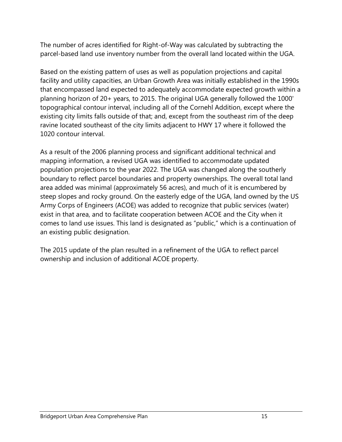The number of acres identified for Right-of-Way was calculated by subtracting the parcel-based land use inventory number from the overall land located within the UGA.

Based on the existing pattern of uses as well as population projections and capital facility and utility capacities, an Urban Growth Area was initially established in the 1990s that encompassed land expected to adequately accommodate expected growth within a planning horizon of 20+ years, to 2015. The original UGA generally followed the 1000' topographical contour interval, including all of the Cornehl Addition, except where the existing city limits falls outside of that; and, except from the southeast rim of the deep ravine located southeast of the city limits adjacent to HWY 17 where it followed the 1020 contour interval.

As a result of the 2006 planning process and significant additional technical and mapping information, a revised UGA was identified to accommodate updated population projections to the year 2022. The UGA was changed along the southerly boundary to reflect parcel boundaries and property ownerships. The overall total land area added was minimal (approximately 56 acres), and much of it is encumbered by steep slopes and rocky ground. On the easterly edge of the UGA, land owned by the US Army Corps of Engineers (ACOE) was added to recognize that public services (water) exist in that area, and to facilitate cooperation between ACOE and the City when it comes to land use issues. This land is designated as "public," which is a continuation of an existing public designation.

The 2015 update of the plan resulted in a refinement of the UGA to reflect parcel ownership and inclusion of additional ACOE property.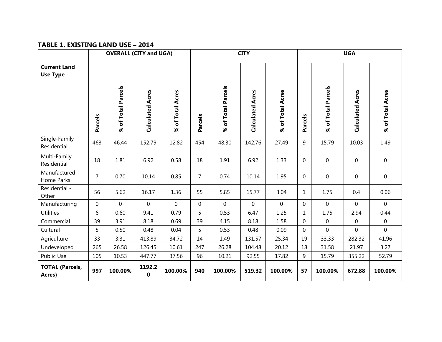#### **TABLE 1. EXISTING LAND USE – 2014**

|                                        | <b>OVERALL (CITY and UGA)</b> |                    |                         | <b>CITY</b>      |                |                    |                         | <b>UGA</b>       |              |                    |                         |                  |
|----------------------------------------|-------------------------------|--------------------|-------------------------|------------------|----------------|--------------------|-------------------------|------------------|--------------|--------------------|-------------------------|------------------|
| <b>Current Land</b><br><b>Use Type</b> |                               |                    |                         |                  |                |                    |                         |                  |              |                    |                         |                  |
|                                        | Parcels                       | % of Total Parcels | <b>Calculated Acres</b> | % of Total Acres | Parcels        | % of Total Parcels | <b>Calculated Acres</b> | % of Total Acres | Parcels      | % of Total Parcels | <b>Calculated Acres</b> | % of Total Acres |
| Single-Family<br>Residential           | 463                           | 46.44              | 152.79                  | 12.82            | 454            | 48.30              | 142.76                  | 27.49            | 9            | 15.79              | 10.03                   | 1.49             |
| Multi-Family<br>Residential            | 18                            | 1.81               | 6.92                    | 0.58             | 18             | 1.91               | 6.92                    | 1.33             | $\mathbf 0$  | $\mathbf 0$        | $\mathbf 0$             | $\mathbf{0}$     |
| Manufactured<br>Home Parks             | $\overline{7}$                | 0.70               | 10.14                   | 0.85             | $\overline{7}$ | 0.74               | 10.14                   | 1.95             | 0            | $\mathbf 0$        | $\mathbf 0$             | $\mathbf 0$      |
| Residential -<br>Other                 | 56                            | 5.62               | 16.17                   | 1.36             | 55             | 5.85               | 15.77                   | 3.04             | 1            | 1.75               | 0.4                     | 0.06             |
| Manufacturing                          | $\mathbf 0$                   | $\mathbf 0$        | $\overline{0}$          | 0                | $\mathbf 0$    | 0                  | $\mathbf 0$             | $\overline{0}$   | 0            | $\mathbf 0$        | $\mathbf 0$             | $\overline{0}$   |
| <b>Utilities</b>                       | 6                             | 0.60               | 9.41                    | 0.79             | 5              | 0.53               | 6.47                    | 1.25             | $\mathbf{1}$ | 1.75               | 2.94                    | 0.44             |
| Commercial                             | 39                            | 3.91               | 8.18                    | 0.69             | 39             | 4.15               | 8.18                    | 1.58             | $\mathbf 0$  | $\mathbf 0$        | $\mathbf 0$             | $\overline{0}$   |
| Cultural                               | 5                             | 0.50               | 0.48                    | 0.04             | 5              | 0.53               | 0.48                    | 0.09             | 0            | $\mathbf 0$        | $\mathbf 0$             | $\mathbf{0}$     |
| Agriculture                            | 33                            | 3.31               | 413.89                  | 34.72            | 14             | 1.49               | 131.57                  | 25.34            | 19           | 33.33              | 282.32                  | 41.96            |
| Undeveloped                            | 265                           | 26.58              | 126.45                  | 10.61            | 247            | 26.28              | 104.48                  | 20.12            | 18           | 31.58              | 21.97                   | 3.27             |
| Public Use                             | 105                           | 10.53              | 447.77                  | 37.56            | 96             | 10.21              | 92.55                   | 17.82            | 9            | 15.79              | 355.22                  | 52.79            |
| <b>TOTAL (Parcels,</b><br>Acres)       | 997                           | 100.00%            | 1192.2<br>$\mathbf 0$   | 100.00%          | 940            | 100.00%            | 519.32                  | 100.00%          | 57           | 100.00%            | 672.88                  | 100.00%          |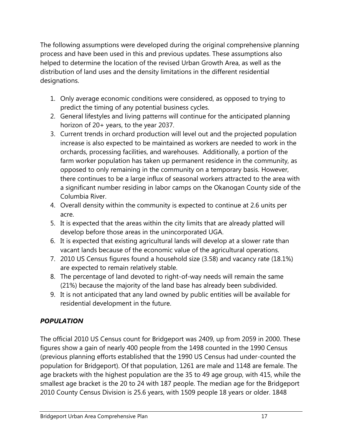The following assumptions were developed during the original comprehensive planning process and have been used in this and previous updates. These assumptions also helped to determine the location of the revised Urban Growth Area, as well as the distribution of land uses and the density limitations in the different residential designations.

- 1. Only average economic conditions were considered, as opposed to trying to predict the timing of any potential business cycles.
- 2. General lifestyles and living patterns will continue for the anticipated planning horizon of 20+ years, to the year 2037.
- 3. Current trends in orchard production will level out and the projected population increase is also expected to be maintained as workers are needed to work in the orchards, processing facilities, and warehouses. Additionally, a portion of the farm worker population has taken up permanent residence in the community, as opposed to only remaining in the community on a temporary basis. However, there continues to be a large influx of seasonal workers attracted to the area with a significant number residing in labor camps on the Okanogan County side of the Columbia River.
- 4. Overall density within the community is expected to continue at 2.6 units per acre.
- 5. It is expected that the areas within the city limits that are already platted will develop before those areas in the unincorporated UGA.
- 6. It is expected that existing agricultural lands will develop at a slower rate than vacant lands because of the economic value of the agricultural operations.
- 7. 2010 US Census figures found a household size (3.58) and vacancy rate (18.1%) are expected to remain relatively stable.
- 8. The percentage of land devoted to right-of-way needs will remain the same (21%) because the majority of the land base has already been subdivided.
- 9. It is not anticipated that any land owned by public entities will be available for residential development in the future.

# *POPULATION*

The official 2010 US Census count for Bridgeport was 2409, up from 2059 in 2000. These figures show a gain of nearly 400 people from the 1498 counted in the 1990 Census (previous planning efforts established that the 1990 US Census had under-counted the population for Bridgeport). Of that population, 1261 are male and 1148 are female. The age brackets with the highest population are the 35 to 49 age group, with 415, while the smallest age bracket is the 20 to 24 with 187 people. The median age for the Bridgeport 2010 County Census Division is 25.6 years, with 1509 people 18 years or older. 1848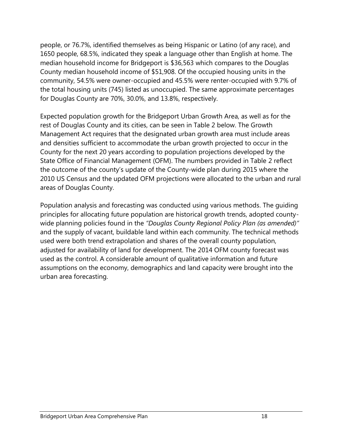people, or 76.7%, identified themselves as being Hispanic or Latino (of any race), and 1650 people, 68.5%, indicated they speak a language other than English at home. The median household income for Bridgeport is \$36,563 which compares to the Douglas County median household income of \$51,908. Of the occupied housing units in the community, 54.5% were owner-occupied and 45.5% were renter-occupied with 9.7% of the total housing units (745) listed as unoccupied. The same approximate percentages for Douglas County are 70%, 30.0%, and 13.8%, respectively.

Expected population growth for the Bridgeport Urban Growth Area, as well as for the rest of Douglas County and its cities, can be seen in Table 2 below. The Growth Management Act requires that the designated urban growth area must include areas and densities sufficient to accommodate the urban growth projected to occur in the County for the next 20 years according to population projections developed by the State Office of Financial Management (OFM). The numbers provided in Table 2 reflect the outcome of the county's update of the County-wide plan during 2015 where the 2010 US Census and the updated OFM projections were allocated to the urban and rural areas of Douglas County.

Population analysis and forecasting was conducted using various methods. The guiding principles for allocating future population are historical growth trends, adopted countywide planning policies found in the *"Douglas County Regional Policy Plan (as amended)"*  and the supply of vacant, buildable land within each community. The technical methods used were both trend extrapolation and shares of the overall county population, adjusted for availability of land for development. The 2014 OFM county forecast was used as the control. A considerable amount of qualitative information and future assumptions on the economy, demographics and land capacity were brought into the urban area forecasting.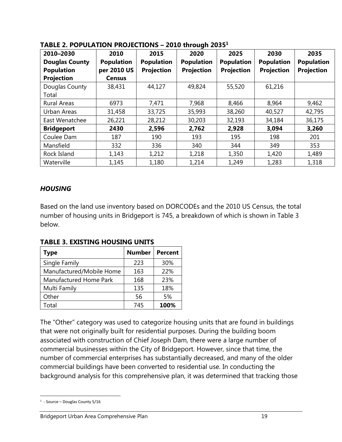| ЛРLL 4. І VI ОLЛ І 1971 І ПОЈЕСТІОНУ |                   |                   | $2010$ and $0411$ |                   |                   |                   |
|--------------------------------------|-------------------|-------------------|-------------------|-------------------|-------------------|-------------------|
| 2010-2030                            | 2010              | 2015              | 2020              | 2025              | 2030              | 2035              |
| <b>Douglas County</b>                | <b>Population</b> | <b>Population</b> | <b>Population</b> | <b>Population</b> | <b>Population</b> | <b>Population</b> |
| <b>Population</b>                    | per 2010 US       | <b>Projection</b> | <b>Projection</b> | <b>Projection</b> | <b>Projection</b> | <b>Projection</b> |
| <b>Projection</b>                    | <b>Census</b>     |                   |                   |                   |                   |                   |
| Douglas County                       | 38,431            | 44,127            | 49,824            | 55,520            | 61,216            |                   |
| Total                                |                   |                   |                   |                   |                   |                   |
| <b>Rural Areas</b>                   | 6973              | 7,471             | 7,968             | 8,466             | 8,964             | 9,462             |
| Urban Areas                          | 31,458            | 33,725            | 35,993            | 38,260            | 40,527            | 42,795            |
| East Wenatchee                       | 26,221            | 28,212            | 30,203            | 32,193            | 34,184            | 36,175            |
| <b>Bridgeport</b>                    | 2430              | 2,596             | 2,762             | 2,928             | 3,094             | 3,260             |
| Coulee Dam                           | 187               | 190               | 193               | 195               | 198               | 201               |
| Mansfield                            | 332               | 336               | 340               | 344               | 349               | 353               |
| Rock Island                          | 1,143             | 1,212             | 1,218             | 1,350             | 1,420             | 1,489             |
| Waterville                           | 1,145             | 1,180             | 1,214             | 1,249             | 1,283             | 1,318             |

#### **TABLE 2. POPULATION PROJECTIONS – 2010 through 2035 1**

# *HOUSING*

Based on the land use inventory based on DORCODEs and the 2010 US Census, the total number of housing units in Bridgeport is 745, a breakdown of which is shown in Table 3 below.

| <b>Type</b>              | <b>Number</b> | <b>Percent</b> |
|--------------------------|---------------|----------------|
| Single Family            | 223           | 30%            |
| Manufactured/Mobile Home | 163           | 22%            |
| Manufactured Home Park   | 168           | 23%            |
| Multi Family             | 135           | 18%            |
| Other                    | 56            | 5%             |
| Total                    | 745           | 100%           |

**TABLE 3. EXISTING HOUSING UNITS**

The "Other" category was used to categorize housing units that are found in buildings that were not originally built for residential purposes. During the building boom associated with construction of Chief Joseph Dam, there were a large number of commercial businesses within the City of Bridgeport. However, since that time, the number of commercial enterprises has substantially decreased, and many of the older commercial buildings have been converted to residential use. In conducting the background analysis for this comprehensive plan, it was determined that tracking those

 $\overline{a}$ <sup>1</sup> - Source – Douglas County 5/16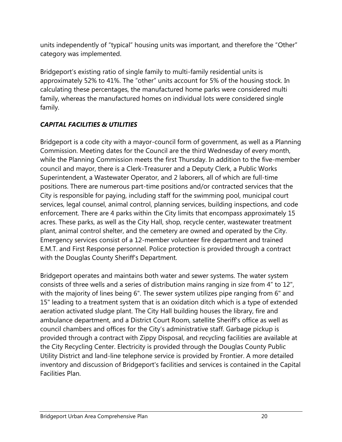units independently of "typical" housing units was important, and therefore the "Other" category was implemented.

Bridgeport's existing ratio of single family to multi-family residential units is approximately 52% to 41%. The "other" units account for 5% of the housing stock. In calculating these percentages, the manufactured home parks were considered multi family, whereas the manufactured homes on individual lots were considered single family.

# *CAPITAL FACILITIES & UTILITIES*

Bridgeport is a code city with a mayor-council form of government, as well as a Planning Commission. Meeting dates for the Council are the third Wednesday of every month, while the Planning Commission meets the first Thursday. In addition to the five-member council and mayor, there is a Clerk-Treasurer and a Deputy Clerk, a Public Works Superintendent, a Wastewater Operator, and 2 laborers, all of which are full-time positions. There are numerous part-time positions and/or contracted services that the City is responsible for paying, including staff for the swimming pool, municipal court services, legal counsel, animal control, planning services, building inspections, and code enforcement. There are 4 parks within the City limits that encompass approximately 15 acres. These parks, as well as the City Hall, shop, recycle center, wastewater treatment plant, animal control shelter, and the cemetery are owned and operated by the City. Emergency services consist of a 12-member volunteer fire department and trained E.M.T. and First Response personnel. Police protection is provided through a contract with the Douglas County Sheriff's Department.

Bridgeport operates and maintains both water and sewer systems. The water system consists of three wells and a series of distribution mains ranging in size from 4" to 12", with the majority of lines being 6". The sewer system utilizes pipe ranging from 6" and 15" leading to a treatment system that is an oxidation ditch which is a type of extended aeration activated sludge plant. The City Hall building houses the library, fire and ambulance department, and a District Court Room, satellite Sheriff's office as well as council chambers and offices for the City's administrative staff. Garbage pickup is provided through a contract with Zippy Disposal, and recycling facilities are available at the City Recycling Center. Electricity is provided through the Douglas County Public Utility District and land-line telephone service is provided by Frontier. A more detailed inventory and discussion of Bridgeport's facilities and services is contained in the Capital Facilities Plan.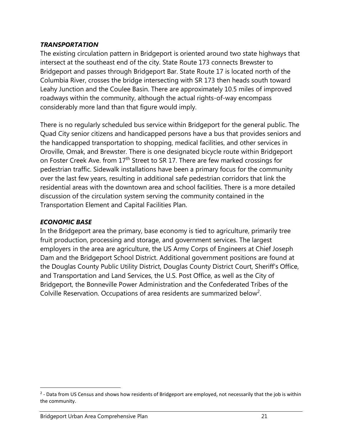## *TRANSPORTATION*

The existing circulation pattern in Bridgeport is oriented around two state highways that intersect at the southeast end of the city. State Route 173 connects Brewster to Bridgeport and passes through Bridgeport Bar. State Route 17 is located north of the Columbia River, crosses the bridge intersecting with SR 173 then heads south toward Leahy Junction and the Coulee Basin. There are approximately 10.5 miles of improved roadways within the community, although the actual rights-of-way encompass considerably more land than that figure would imply.

There is no regularly scheduled bus service within Bridgeport for the general public. The Quad City senior citizens and handicapped persons have a bus that provides seniors and the handicapped transportation to shopping, medical facilities, and other services in Oroville, Omak, and Brewster. There is one designated bicycle route within Bridgeport on Foster Creek Ave. from 17<sup>th</sup> Street to SR 17. There are few marked crossings for pedestrian traffic. Sidewalk installations have been a primary focus for the community over the last few years, resulting in additional safe pedestrian corridors that link the residential areas with the downtown area and school facilities. There is a more detailed discussion of the circulation system serving the community contained in the Transportation Element and Capital Facilities Plan.

# *ECONOMIC BASE*

 $\overline{a}$ 

In the Bridgeport area the primary, base economy is tied to agriculture, primarily tree fruit production, processing and storage, and government services. The largest employers in the area are agriculture, the US Army Corps of Engineers at Chief Joseph Dam and the Bridgeport School District. Additional government positions are found at the Douglas County Public Utility District, Douglas County District Court, Sheriff's Office, and Transportation and Land Services, the U.S. Post Office, as well as the City of Bridgeport, the Bonneville Power Administration and the Confederated Tribes of the Colville Reservation. Occupations of area residents are summarized below<sup>2</sup>.

<sup>&</sup>lt;sup>2</sup> - Data from US Census and shows how residents of Bridgeport are employed, not necessarily that the job is within the community.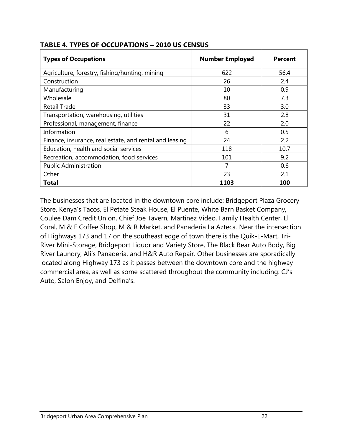| <b>Types of Occupations</b>                             | <b>Number Employed</b> | <b>Percent</b> |
|---------------------------------------------------------|------------------------|----------------|
| Agriculture, forestry, fishing/hunting, mining          | 622                    | 56.4           |
| Construction                                            | 26                     | 2.4            |
| Manufacturing                                           | 10                     | 0.9            |
| Wholesale                                               | 80                     | 7.3            |
| <b>Retail Trade</b>                                     | 33                     | 3.0            |
| Transportation, warehousing, utilities                  | 31                     | 2.8            |
| Professional, management, finance                       | 22                     | 2.0            |
| Information                                             | 6                      | 0.5            |
| Finance, insurance, real estate, and rental and leasing | 24                     | 2.2            |
| Education, health and social services                   | 118                    | 10.7           |
| Recreation, accommodation, food services                | 101                    | 9.2            |
| <b>Public Administration</b>                            | 7                      | 0.6            |
| Other                                                   | 23                     | 2.1            |
| Total                                                   | 1103                   | 100            |

## **TABLE 4. TYPES OF OCCUPATIONS – 2010 US CENSUS**

The businesses that are located in the downtown core include: Bridgeport Plaza Grocery Store, Kenya's Tacos, El Petate Steak House, El Puente, White Barn Basket Company, Coulee Dam Credit Union, Chief Joe Tavern, Martinez Video, Family Health Center, El Coral, M & F Coffee Shop, M & R Market, and Panaderia La Azteca. Near the intersection of Highways 173 and 17 on the southeast edge of town there is the Quik-E-Mart, Tri-River Mini-Storage, Bridgeport Liquor and Variety Store, The Black Bear Auto Body, Big River Laundry, Ali's Panaderia, and H&R Auto Repair. Other businesses are sporadically located along Highway 173 as it passes between the downtown core and the highway commercial area, as well as some scattered throughout the community including: CJ's Auto, Salon Enjoy, and Delfina's.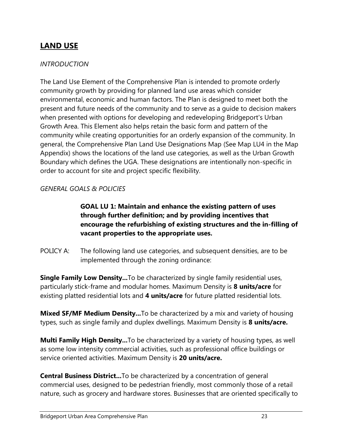# **LAND USE**

### *INTRODUCTION*

The Land Use Element of the Comprehensive Plan is intended to promote orderly community growth by providing for planned land use areas which consider environmental, economic and human factors. The Plan is designed to meet both the present and future needs of the community and to serve as a guide to decision makers when presented with options for developing and redeveloping Bridgeport's Urban Growth Area. This Element also helps retain the basic form and pattern of the community while creating opportunities for an orderly expansion of the community. In general, the Comprehensive Plan Land Use Designations Map (See Map LU4 in the Map Appendix) shows the locations of the land use categories, as well as the Urban Growth Boundary which defines the UGA. These designations are intentionally non-specific in order to account for site and project specific flexibility.

## *GENERAL GOALS & POLICIES*

# **GOAL LU 1: Maintain and enhance the existing pattern of uses through further definition; and by providing incentives that encourage the refurbishing of existing structures and the in-filling of vacant properties to the appropriate uses.**

POLICY A: The following land use categories, and subsequent densities, are to be implemented through the zoning ordinance:

**Single Family Low Density...**To be characterized by single family residential uses, particularly stick-frame and modular homes. Maximum Density is **8 units/acre** for existing platted residential lots and **4 units/acre** for future platted residential lots.

**Mixed SF/MF Medium Density...**To be characterized by a mix and variety of housing types, such as single family and duplex dwellings. Maximum Density is **8 units/acre.**

**Multi Family High Density...**To be characterized by a variety of housing types, as well as some low intensity commercial activities, such as professional office buildings or service oriented activities. Maximum Density is **20 units/acre.**

**Central Business District...**To be characterized by a concentration of general commercial uses, designed to be pedestrian friendly, most commonly those of a retail nature, such as grocery and hardware stores. Businesses that are oriented specifically to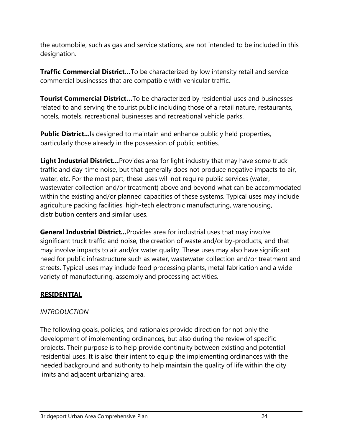the automobile, such as gas and service stations, are not intended to be included in this designation.

**Traffic Commercial District…**To be characterized by low intensity retail and service commercial businesses that are compatible with vehicular traffic.

**Tourist Commercial District…**To be characterized by residential uses and businesses related to and serving the tourist public including those of a retail nature, restaurants, hotels, motels, recreational businesses and recreational vehicle parks.

**Public District...** Is designed to maintain and enhance publicly held properties, particularly those already in the possession of public entities.

**Light Industrial District…**Provides area for light industry that may have some truck traffic and day-time noise, but that generally does not produce negative impacts to air, water, etc. For the most part, these uses will not require public services (water, wastewater collection and/or treatment) above and beyond what can be accommodated within the existing and/or planned capacities of these systems. Typical uses may include agriculture packing facilities, high-tech electronic manufacturing, warehousing, distribution centers and similar uses.

**General Industrial District...**Provides area for industrial uses that may involve significant truck traffic and noise, the creation of waste and/or by-products, and that may involve impacts to air and/or water quality. These uses may also have significant need for public infrastructure such as water, wastewater collection and/or treatment and streets. Typical uses may include food processing plants, metal fabrication and a wide variety of manufacturing, assembly and processing activities.

# **RESIDENTIAL**

# *INTRODUCTION*

The following goals, policies, and rationales provide direction for not only the development of implementing ordinances, but also during the review of specific projects. Their purpose is to help provide continuity between existing and potential residential uses. It is also their intent to equip the implementing ordinances with the needed background and authority to help maintain the quality of life within the city limits and adjacent urbanizing area.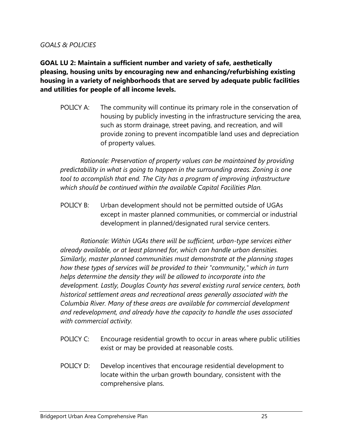### *GOALS & POLICIES*

**GOAL LU 2: Maintain a sufficient number and variety of safe, aesthetically pleasing, housing units by encouraging new and enhancing/refurbishing existing housing in a variety of neighborhoods that are served by adequate public facilities and utilities for people of all income levels.**

POLICY A: The community will continue its primary role in the conservation of housing by publicly investing in the infrastructure servicing the area, such as storm drainage, street paving, and recreation, and will provide zoning to prevent incompatible land uses and depreciation of property values.

*Rationale: Preservation of property values can be maintained by providing predictability in what is going to happen in the surrounding areas. Zoning is one tool to accomplish that end. The City has a program of improving infrastructure which should be continued within the available Capital Facilities Plan.*

POLICY B: Urban development should not be permitted outside of UGAs except in master planned communities, or commercial or industrial development in planned/designated rural service centers.

*Rationale: Within UGAs there will be sufficient, urban-type services either already available, or at least planned for, which can handle urban densities. Similarly, master planned communities must demonstrate at the planning stages how these types of services will be provided to their "community," which in turn helps determine the density they will be allowed to incorporate into the development. Lastly, Douglas County has several existing rural service centers, both historical settlement areas and recreational areas generally associated with the Columbia River. Many of these areas are available for commercial development and redevelopment, and already have the capacity to handle the uses associated with commercial activity.*

- POLICY C: Encourage residential growth to occur in areas where public utilities exist or may be provided at reasonable costs.
- POLICY D: Develop incentives that encourage residential development to locate within the urban growth boundary, consistent with the comprehensive plans.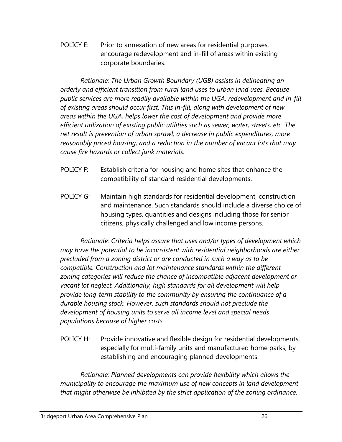POLICY E: Prior to annexation of new areas for residential purposes, encourage redevelopment and in-fill of areas within existing corporate boundaries.

*Rationale: The Urban Growth Boundary (UGB) assists in delineating an orderly and efficient transition from rural land uses to urban land uses. Because public services are more readily available within the UGA, redevelopment and in-fill of existing areas should occur first. This in-fill, along with development of new areas within the UGA, helps lower the cost of development and provide more efficient utilization of existing public utilities such as sewer, water, streets, etc. The net result is prevention of urban sprawl, a decrease in public expenditures, more reasonably priced housing, and a reduction in the number of vacant lots that may cause fire hazards or collect junk materials.*

- POLICY F: Establish criteria for housing and home sites that enhance the compatibility of standard residential developments.
- POLICY G: Maintain high standards for residential development, construction and maintenance. Such standards should include a diverse choice of housing types, quantities and designs including those for senior citizens, physically challenged and low income persons.

*Rationale: Criteria helps assure that uses and/or types of development which may have the potential to be inconsistent with residential neighborhoods are either precluded from a zoning district or are conducted in such a way as to be compatible. Construction and lot maintenance standards within the different zoning categories will reduce the chance of incompatible adjacent development or vacant lot neglect. Additionally, high standards for all development will help provide long-term stability to the community by ensuring the continuance of a durable housing stock. However, such standards should not preclude the development of housing units to serve all income level and special needs populations because of higher costs.*

POLICY H: Provide innovative and flexible design for residential developments, especially for multi-family units and manufactured home parks, by establishing and encouraging planned developments.

*Rationale: Planned developments can provide flexibility which allows the municipality to encourage the maximum use of new concepts in land development that might otherwise be inhibited by the strict application of the zoning ordinance.*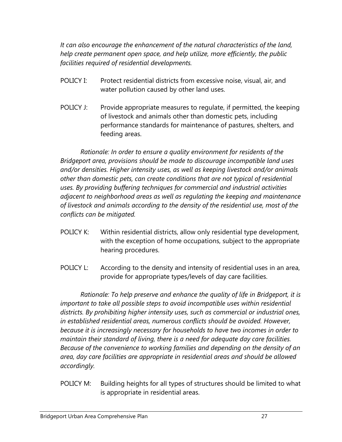*It can also encourage the enhancement of the natural characteristics of the land, help create permanent open space, and help utilize, more efficiently, the public facilities required of residential developments.*

- POLICY I: Protect residential districts from excessive noise, visual, air, and water pollution caused by other land uses.
- POLICY J: Provide appropriate measures to regulate, if permitted, the keeping of livestock and animals other than domestic pets, including performance standards for maintenance of pastures, shelters, and feeding areas.

*Rationale: In order to ensure a quality environment for residents of the Bridgeport area, provisions should be made to discourage incompatible land uses and/or densities. Higher intensity uses, as well as keeping livestock and/or animals other than domestic pets, can create conditions that are not typical of residential uses. By providing buffering techniques for commercial and industrial activities adjacent to neighborhood areas as well as regulating the keeping and maintenance of livestock and animals according to the density of the residential use, most of the conflicts can be mitigated.*

- POLICY K: Within residential districts, allow only residential type development, with the exception of home occupations, subject to the appropriate hearing procedures.
- POLICY L: According to the density and intensity of residential uses in an area, provide for appropriate types/levels of day care facilities.

*Rationale: To help preserve and enhance the quality of life in Bridgeport, it is important to take all possible steps to avoid incompatible uses within residential districts. By prohibiting higher intensity uses, such as commercial or industrial ones, in established residential areas, numerous conflicts should be avoided. However, because it is increasingly necessary for households to have two incomes in order to maintain their standard of living, there is a need for adequate day care facilities. Because of the convenience to working families and depending on the density of an area, day care facilities are appropriate in residential areas and should be allowed accordingly.*

POLICY M: Building heights for all types of structures should be limited to what is appropriate in residential areas.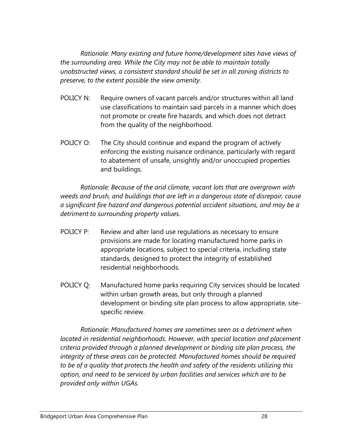*Rationale: Many existing and future home/development sites have views of the surrounding area. While the City may not be able to maintain totally unobstructed views, a consistent standard should be set in all zoning districts to preserve, to the extent possible the view amenity.*

- POLICY N: Require owners of vacant parcels and/or structures within all land use classifications to maintain said parcels in a manner which does not promote or create fire hazards, and which does not detract from the quality of the neighborhood.
- POLICY O: The City should continue and expand the program of actively enforcing the existing nuisance ordinance, particularly with regard to abatement of unsafe, unsightly and/or unoccupied properties and buildings.

*Rationale: Because of the arid climate, vacant lots that are overgrown with weeds and brush, and buildings that are left in a dangerous state of disrepair, cause a significant fire hazard and dangerous potential accident situations, and may be a detriment to surrounding property values.*

- POLICY P: Review and alter land use regulations as necessary to ensure provisions are made for locating manufactured home parks in appropriate locations, subject to special criteria, including state standards, designed to protect the integrity of established residential neighborhoods.
- POLICY Q: Manufactured home parks requiring City services should be located within urban growth areas, but only through a planned development or binding site plan process to allow appropriate, sitespecific review.

*Rationale: Manufactured homes are sometimes seen as a detriment when located in residential neighborhoods. However, with special location and placement criteria provided through a planned development or binding site plan process, the integrity of these areas can be protected. Manufactured homes should be required to be of a quality that protects the health and safety of the residents utilizing this option, and need to be serviced by urban facilities and services which are to be provided only within UGAs.*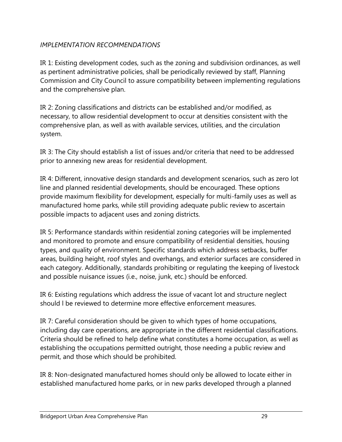# *IMPLEMENTATION RECOMMENDATIONS*

IR 1: Existing development codes, such as the zoning and subdivision ordinances, as well as pertinent administrative policies, shall be periodically reviewed by staff, Planning Commission and City Council to assure compatibility between implementing regulations and the comprehensive plan.

IR 2: Zoning classifications and districts can be established and/or modified, as necessary, to allow residential development to occur at densities consistent with the comprehensive plan, as well as with available services, utilities, and the circulation system.

IR 3: The City should establish a list of issues and/or criteria that need to be addressed prior to annexing new areas for residential development.

IR 4: Different, innovative design standards and development scenarios, such as zero lot line and planned residential developments, should be encouraged. These options provide maximum flexibility for development, especially for multi-family uses as well as manufactured home parks, while still providing adequate public review to ascertain possible impacts to adjacent uses and zoning districts.

IR 5: Performance standards within residential zoning categories will be implemented and monitored to promote and ensure compatibility of residential densities, housing types, and quality of environment. Specific standards which address setbacks, buffer areas, building height, roof styles and overhangs, and exterior surfaces are considered in each category. Additionally, standards prohibiting or regulating the keeping of livestock and possible nuisance issues (i.e., noise, junk, etc.) should be enforced.

IR 6: Existing regulations which address the issue of vacant lot and structure neglect should l be reviewed to determine more effective enforcement measures.

IR 7: Careful consideration should be given to which types of home occupations, including day care operations, are appropriate in the different residential classifications. Criteria should be refined to help define what constitutes a home occupation, as well as establishing the occupations permitted outright, those needing a public review and permit, and those which should be prohibited.

IR 8: Non-designated manufactured homes should only be allowed to locate either in established manufactured home parks, or in new parks developed through a planned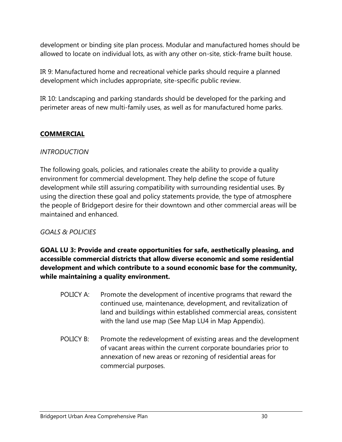development or binding site plan process. Modular and manufactured homes should be allowed to locate on individual lots, as with any other on-site, stick-frame built house.

IR 9: Manufactured home and recreational vehicle parks should require a planned development which includes appropriate, site-specific public review.

IR 10: Landscaping and parking standards should be developed for the parking and perimeter areas of new multi-family uses, as well as for manufactured home parks.

# **COMMERCIAL**

## *INTRODUCTION*

The following goals, policies, and rationales create the ability to provide a quality environment for commercial development. They help define the scope of future development while still assuring compatibility with surrounding residential uses. By using the direction these goal and policy statements provide, the type of atmosphere the people of Bridgeport desire for their downtown and other commercial areas will be maintained and enhanced.

# *GOALS & POLICIES*

**GOAL LU 3: Provide and create opportunities for safe, aesthetically pleasing, and accessible commercial districts that allow diverse economic and some residential development and which contribute to a sound economic base for the community, while maintaining a quality environment.**

- POLICY A: Promote the development of incentive programs that reward the continued use, maintenance, development, and revitalization of land and buildings within established commercial areas, consistent with the land use map (See Map LU4 in Map Appendix).
- POLICY B: Promote the redevelopment of existing areas and the development of vacant areas within the current corporate boundaries prior to annexation of new areas or rezoning of residential areas for commercial purposes.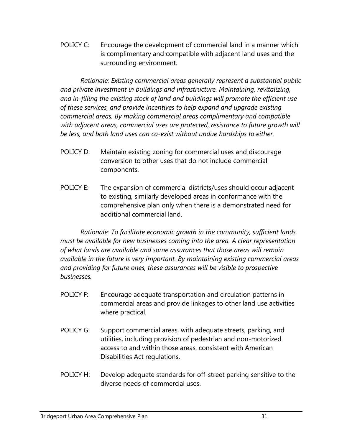POLICY C: Encourage the development of commercial land in a manner which is complimentary and compatible with adjacent land uses and the surrounding environment.

*Rationale: Existing commercial areas generally represent a substantial public and private investment in buildings and infrastructure. Maintaining, revitalizing, and in-filling the existing stock of land and buildings will promote the efficient use of these services, and provide incentives to help expand and upgrade existing commercial areas. By making commercial areas complimentary and compatible*  with adjacent areas, commercial uses are protected, resistance to future growth will *be less, and both land uses can co-exist without undue hardships to either.*

- POLICY D: Maintain existing zoning for commercial uses and discourage conversion to other uses that do not include commercial components.
- POLICY E: The expansion of commercial districts/uses should occur adjacent to existing, similarly developed areas in conformance with the comprehensive plan only when there is a demonstrated need for additional commercial land.

*Rationale: To facilitate economic growth in the community, sufficient lands must be available for new businesses coming into the area. A clear representation of what lands are available and some assurances that those areas will remain available in the future is very important. By maintaining existing commercial areas and providing for future ones, these assurances will be visible to prospective businesses.* 

- POLICY F: Encourage adequate transportation and circulation patterns in commercial areas and provide linkages to other land use activities where practical.
- POLICY G: Support commercial areas, with adequate streets, parking, and utilities, including provision of pedestrian and non-motorized access to and within those areas, consistent with American Disabilities Act regulations.
- POLICY H: Develop adequate standards for off-street parking sensitive to the diverse needs of commercial uses.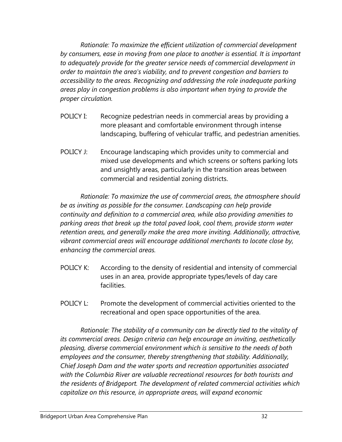*Rationale: To maximize the efficient utilization of commercial development by consumers, ease in moving from one place to another is essential. It is important to adequately provide for the greater service needs of commercial development in order to maintain the area's viability, and to prevent congestion and barriers to accessibility to the areas. Recognizing and addressing the role inadequate parking areas play in congestion problems is also important when trying to provide the proper circulation.* 

- POLICY I: Recognize pedestrian needs in commercial areas by providing a more pleasant and comfortable environment through intense landscaping, buffering of vehicular traffic, and pedestrian amenities.
- POLICY J: Encourage landscaping which provides unity to commercial and mixed use developments and which screens or softens parking lots and unsightly areas, particularly in the transition areas between commercial and residential zoning districts.

*Rationale: To maximize the use of commercial areas, the atmosphere should be as inviting as possible for the consumer. Landscaping can help provide continuity and definition to a commercial area, while also providing amenities to parking areas that break up the total paved look, cool them, provide storm water retention areas, and generally make the area more inviting. Additionally, attractive, vibrant commercial areas will encourage additional merchants to locate close by, enhancing the commercial areas.* 

- POLICY K: According to the density of residential and intensity of commercial uses in an area, provide appropriate types/levels of day care facilities.
- POLICY L: Promote the development of commercial activities oriented to the recreational and open space opportunities of the area.

*Rationale: The stability of a community can be directly tied to the vitality of its commercial areas. Design criteria can help encourage an inviting, aesthetically pleasing, diverse commercial environment which is sensitive to the needs of both employees and the consumer, thereby strengthening that stability. Additionally, Chief Joseph Dam and the water sports and recreation opportunities associated with the Columbia River are valuable recreational resources for both tourists and the residents of Bridgeport. The development of related commercial activities which capitalize on this resource, in appropriate areas, will expand economic*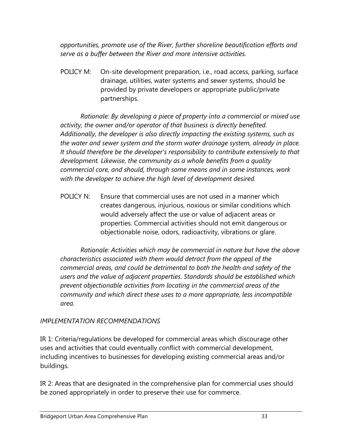*opportunities, promote use of the River, further shoreline beautification efforts and serve as a buffer between the River and more intensive activities.* 

POLICY M: On-site development preparation, i.e., road access, parking, surface drainage, utilities, water systems and sewer systems, should be provided by private developers or appropriate public/private partnerships.

*Rationale: By developing a piece of property into a commercial or mixed use activity, the owner and/or operator of that business is directly benefited. Additionally, the developer is also directly impacting the existing systems, such as the water and sewer system and the storm water drainage system, already in place. It should therefore be the developer's responsibility to contribute extensively to that development. Likewise, the community as a whole benefits from a quality commercial core, and should, through some means and in some instances, work with the developer to achieve the high level of development desired.* 

POLICY N: Ensure that commercial uses are not used in a manner which creates dangerous, injurious, noxious or similar conditions which would adversely affect the use or value of adjacent areas or properties. Commercial activities should not emit dangerous or objectionable noise, odors, radioactivity, vibrations or glare.

*Rationale: Activities which may be commercial in nature but have the above characteristics associated with them would detract from the appeal of the commercial areas, and could be detrimental to both the health and safety of the users and the value of adjacent properties. Standards should be established which prevent objectionable activities from locating in the commercial areas of the community and which direct these uses to a more appropriate, less incompatible area.* 

# *IMPLEMENTATION RECOMMENDATIONS*

IR 1: Criteria/regulations be developed for commercial areas which discourage other uses and activities that could eventually conflict with commercial development, including incentives to businesses for developing existing commercial areas and/or buildings.

IR 2: Areas that are designated in the comprehensive plan for commercial uses should be zoned appropriately in order to preserve their use for commerce.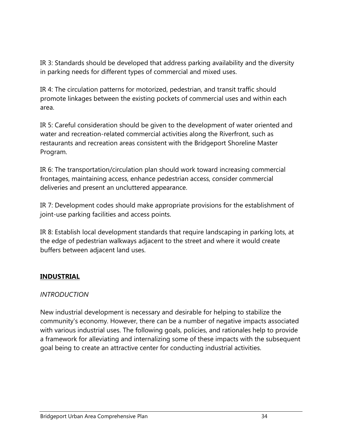IR 3: Standards should be developed that address parking availability and the diversity in parking needs for different types of commercial and mixed uses.

IR 4: The circulation patterns for motorized, pedestrian, and transit traffic should promote linkages between the existing pockets of commercial uses and within each area.

IR 5: Careful consideration should be given to the development of water oriented and water and recreation-related commercial activities along the Riverfront, such as restaurants and recreation areas consistent with the Bridgeport Shoreline Master Program.

IR 6: The transportation/circulation plan should work toward increasing commercial frontages, maintaining access, enhance pedestrian access, consider commercial deliveries and present an uncluttered appearance.

IR 7: Development codes should make appropriate provisions for the establishment of joint-use parking facilities and access points.

IR 8: Establish local development standards that require landscaping in parking lots, at the edge of pedestrian walkways adjacent to the street and where it would create buffers between adjacent land uses.

# **INDUSTRIAL**

# *INTRODUCTION*

New industrial development is necessary and desirable for helping to stabilize the community's economy. However, there can be a number of negative impacts associated with various industrial uses. The following goals, policies, and rationales help to provide a framework for alleviating and internalizing some of these impacts with the subsequent goal being to create an attractive center for conducting industrial activities.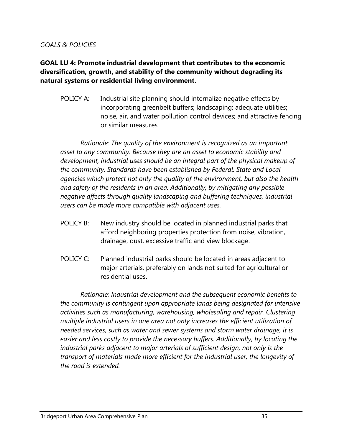#### *GOALS & POLICIES*

## **GOAL LU 4: Promote industrial development that contributes to the economic diversification, growth, and stability of the community without degrading its natural systems or residential living environment.**

POLICY A: Industrial site planning should internalize negative effects by incorporating greenbelt buffers; landscaping; adequate utilities; noise, air, and water pollution control devices; and attractive fencing or similar measures.

*Rationale: The quality of the environment is recognized as an important asset to any community. Because they are an asset to economic stability and development, industrial uses should be an integral part of the physical makeup of the community. Standards have been established by Federal, State and Local agencies which protect not only the quality of the environment, but also the health and safety of the residents in an area. Additionally, by mitigating any possible negative affects through quality landscaping and buffering techniques, industrial users can be made more compatible with adjacent uses.* 

- POLICY B: New industry should be located in planned industrial parks that afford neighboring properties protection from noise, vibration, drainage, dust, excessive traffic and view blockage.
- POLICY C: Planned industrial parks should be located in areas adjacent to major arterials, preferably on lands not suited for agricultural or residential uses.

*Rationale: Industrial development and the subsequent economic benefits to the community is contingent upon appropriate lands being designated for intensive activities such as manufacturing, warehousing, wholesaling and repair. Clustering multiple industrial users in one area not only increases the efficient utilization of needed services, such as water and sewer systems and storm water drainage, it is easier and less costly to provide the necessary buffers. Additionally, by locating the industrial parks adjacent to major arterials of sufficient design, not only is the transport of materials made more efficient for the industrial user, the longevity of the road is extended.*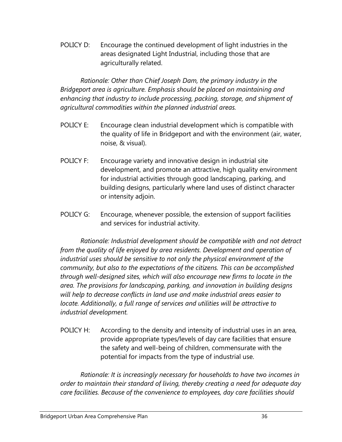POLICY D: Encourage the continued development of light industries in the areas designated Light Industrial, including those that are agriculturally related.

*Rationale: Other than Chief Joseph Dam, the primary industry in the Bridgeport area is agriculture. Emphasis should be placed on maintaining and enhancing that industry to include processing, packing, storage, and shipment of agricultural commodities within the planned industrial areas.* 

- POLICY E: Encourage clean industrial development which is compatible with the quality of life in Bridgeport and with the environment (air, water, noise, & visual).
- POLICY F: Encourage variety and innovative design in industrial site development, and promote an attractive, high quality environment for industrial activities through good landscaping, parking, and building designs, particularly where land uses of distinct character or intensity adjoin.
- POLICY G: Encourage, whenever possible, the extension of support facilities and services for industrial activity.

*Rationale: Industrial development should be compatible with and not detract from the quality of life enjoyed by area residents. Development and operation of industrial uses should be sensitive to not only the physical environment of the community, but also to the expectations of the citizens. This can be accomplished through well-designed sites, which will also encourage new firms to locate in the area. The provisions for landscaping, parking, and innovation in building designs will help to decrease conflicts in land use and make industrial areas easier to locate. Additionally, a full range of services and utilities will be attractive to industrial development.* 

POLICY H: According to the density and intensity of industrial uses in an area, provide appropriate types/levels of day care facilities that ensure the safety and well-being of children, commensurate with the potential for impacts from the type of industrial use.

*Rationale: It is increasingly necessary for households to have two incomes in order to maintain their standard of living, thereby creating a need for adequate day care facilities. Because of the convenience to employees, day care facilities should*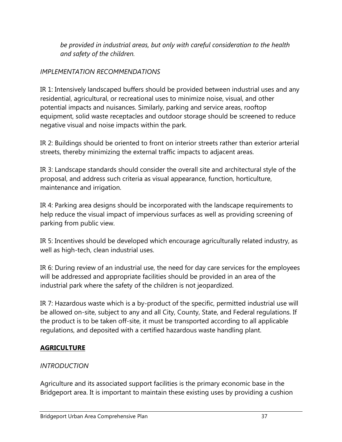*be provided in industrial areas, but only with careful consideration to the health and safety of the children.* 

# *IMPLEMENTATION RECOMMENDATIONS*

IR 1: Intensively landscaped buffers should be provided between industrial uses and any residential, agricultural, or recreational uses to minimize noise, visual, and other potential impacts and nuisances. Similarly, parking and service areas, rooftop equipment, solid waste receptacles and outdoor storage should be screened to reduce negative visual and noise impacts within the park.

IR 2: Buildings should be oriented to front on interior streets rather than exterior arterial streets, thereby minimizing the external traffic impacts to adjacent areas.

IR 3: Landscape standards should consider the overall site and architectural style of the proposal, and address such criteria as visual appearance, function, horticulture, maintenance and irrigation.

IR 4: Parking area designs should be incorporated with the landscape requirements to help reduce the visual impact of impervious surfaces as well as providing screening of parking from public view.

IR 5: Incentives should be developed which encourage agriculturally related industry, as well as high-tech, clean industrial uses.

IR 6: During review of an industrial use, the need for day care services for the employees will be addressed and appropriate facilities should be provided in an area of the industrial park where the safety of the children is not jeopardized.

IR 7: Hazardous waste which is a by-product of the specific, permitted industrial use will be allowed on-site, subject to any and all City, County, State, and Federal regulations. If the product is to be taken off-site, it must be transported according to all applicable regulations, and deposited with a certified hazardous waste handling plant.

# **AGRICULTURE**

## *INTRODUCTION*

Agriculture and its associated support facilities is the primary economic base in the Bridgeport area. It is important to maintain these existing uses by providing a cushion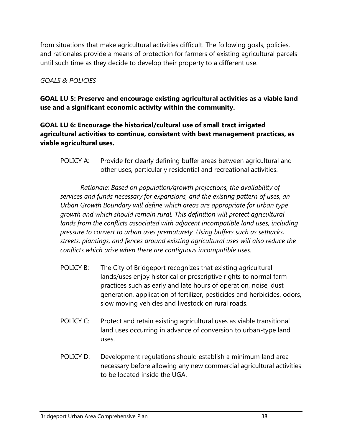from situations that make agricultural activities difficult. The following goals, policies, and rationales provide a means of protection for farmers of existing agricultural parcels until such time as they decide to develop their property to a different use.

## *GOALS & POLICIES*

**GOAL LU 5: Preserve and encourage existing agricultural activities as a viable land use and a significant economic activity within the community.** 

## **GOAL LU 6: Encourage the historical/cultural use of small tract irrigated agricultural activities to continue, consistent with best management practices, as viable agricultural uses.**

POLICY A: Provide for clearly defining buffer areas between agricultural and other uses, particularly residential and recreational activities.

*Rationale: Based on population/growth projections, the availability of services and funds necessary for expansions, and the existing pattern of uses, an Urban Growth Boundary will define which areas are appropriate for urban type growth and which should remain rural. This definition will protect agricultural*  lands from the conflicts associated with adjacent incompatible land uses, including *pressure to convert to urban uses prematurely. Using buffers such as setbacks, streets, plantings, and fences around existing agricultural uses will also reduce the conflicts which arise when there are contiguous incompatible uses.* 

- POLICY B: The City of Bridgeport recognizes that existing agricultural lands/uses enjoy historical or prescriptive rights to normal farm practices such as early and late hours of operation, noise, dust generation, application of fertilizer, pesticides and herbicides, odors, slow moving vehicles and livestock on rural roads.
- POLICY C: Protect and retain existing agricultural uses as viable transitional land uses occurring in advance of conversion to urban-type land uses.
- POLICY D: Development regulations should establish a minimum land area necessary before allowing any new commercial agricultural activities to be located inside the UGA.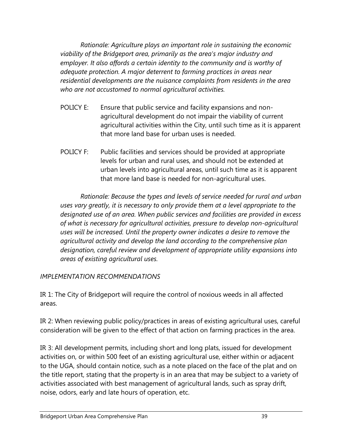*Rationale: Agriculture plays an important role in sustaining the economic viability of the Bridgeport area, primarily as the area's major industry and employer. It also affords a certain identity to the community and is worthy of adequate protection. A major deterrent to farming practices in areas near residential developments are the nuisance complaints from residents in the area who are not accustomed to normal agricultural activities.* 

- POLICY E: Ensure that public service and facility expansions and nonagricultural development do not impair the viability of current agricultural activities within the City, until such time as it is apparent that more land base for urban uses is needed.
- POLICY F: Public facilities and services should be provided at appropriate levels for urban and rural uses, and should not be extended at urban levels into agricultural areas, until such time as it is apparent that more land base is needed for non-agricultural uses.

*Rationale: Because the types and levels of service needed for rural and urban uses vary greatly, it is necessary to only provide them at a level appropriate to the designated use of an area. When public services and facilities are provided in excess of what is necessary for agricultural activities, pressure to develop non-agricultural uses will be increased. Until the property owner indicates a desire to remove the agricultural activity and develop the land according to the comprehensive plan designation, careful review and development of appropriate utility expansions into areas of existing agricultural uses.* 

## *IMPLEMENTATION RECOMMENDATIONS*

IR 1: The City of Bridgeport will require the control of noxious weeds in all affected areas.

IR 2: When reviewing public policy/practices in areas of existing agricultural uses, careful consideration will be given to the effect of that action on farming practices in the area.

IR 3: All development permits, including short and long plats, issued for development activities on, or within 500 feet of an existing agricultural use, either within or adjacent to the UGA, should contain notice, such as a note placed on the face of the plat and on the title report, stating that the property is in an area that may be subject to a variety of activities associated with best management of agricultural lands, such as spray drift, noise, odors, early and late hours of operation, etc.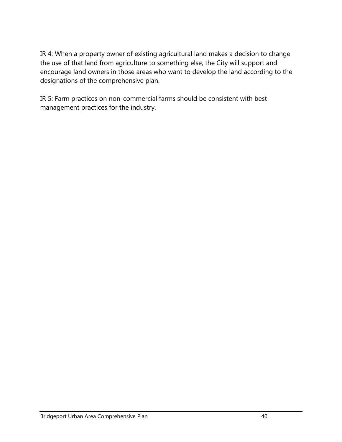IR 4: When a property owner of existing agricultural land makes a decision to change the use of that land from agriculture to something else, the City will support and encourage land owners in those areas who want to develop the land according to the designations of the comprehensive plan.

IR 5: Farm practices on non-commercial farms should be consistent with best management practices for the industry.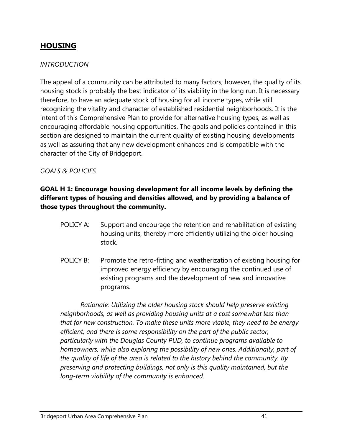# **HOUSING**

#### *INTRODUCTION*

The appeal of a community can be attributed to many factors; however, the quality of its housing stock is probably the best indicator of its viability in the long run. It is necessary therefore, to have an adequate stock of housing for all income types, while still recognizing the vitality and character of established residential neighborhoods. It is the intent of this Comprehensive Plan to provide for alternative housing types, as well as encouraging affordable housing opportunities. The goals and policies contained in this section are designed to maintain the current quality of existing housing developments as well as assuring that any new development enhances and is compatible with the character of the City of Bridgeport.

#### *GOALS & POLICIES*

## **GOAL H 1: Encourage housing development for all income levels by defining the different types of housing and densities allowed, and by providing a balance of those types throughout the community.**

- POLICY A: Support and encourage the retention and rehabilitation of existing housing units, thereby more efficiently utilizing the older housing stock.
- POLICY B: Promote the retro-fitting and weatherization of existing housing for improved energy efficiency by encouraging the continued use of existing programs and the development of new and innovative programs.

*Rationale: Utilizing the older housing stock should help preserve existing neighborhoods, as well as providing housing units at a cost somewhat less than that for new construction. To make these units more viable, they need to be energy efficient, and there is some responsibility on the part of the public sector, particularly with the Douglas County PUD, to continue programs available to homeowners, while also exploring the possibility of new ones. Additionally, part of the quality of life of the area is related to the history behind the community. By preserving and protecting buildings, not only is this quality maintained, but the long-term viability of the community is enhanced.*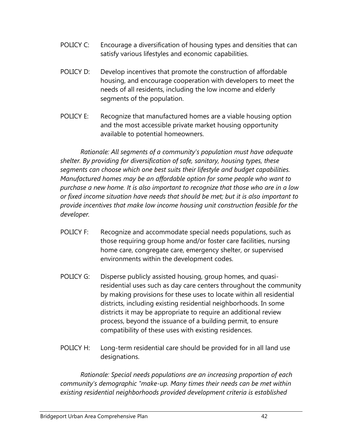- POLICY C: Encourage a diversification of housing types and densities that can satisfy various lifestyles and economic capabilities.
- POLICY D: Develop incentives that promote the construction of affordable housing, and encourage cooperation with developers to meet the needs of all residents, including the low income and elderly segments of the population.
- POLICY E: Recognize that manufactured homes are a viable housing option and the most accessible private market housing opportunity available to potential homeowners.

*Rationale: All segments of a community's population must have adequate shelter. By providing for diversification of safe, sanitary, housing types, these segments can choose which one best suits their lifestyle and budget capabilities. Manufactured homes may be an affordable option for some people who want to purchase a new home. It is also important to recognize that those who are in a low or fixed income situation have needs that should be met; but it is also important to provide incentives that make low income housing unit construction feasible for the developer.* 

- POLICY F: Recognize and accommodate special needs populations, such as those requiring group home and/or foster care facilities, nursing home care, congregate care, emergency shelter, or supervised environments within the development codes.
- POLICY G: Disperse publicly assisted housing, group homes, and quasiresidential uses such as day care centers throughout the community by making provisions for these uses to locate within all residential districts, including existing residential neighborhoods. In some districts it may be appropriate to require an additional review process, beyond the issuance of a building permit, to ensure compatibility of these uses with existing residences.
- POLICY H: Long-term residential care should be provided for in all land use designations.

*Rationale: Special needs populations are an increasing proportion of each community's demographic "make-up. Many times their needs can be met within existing residential neighborhoods provided development criteria is established*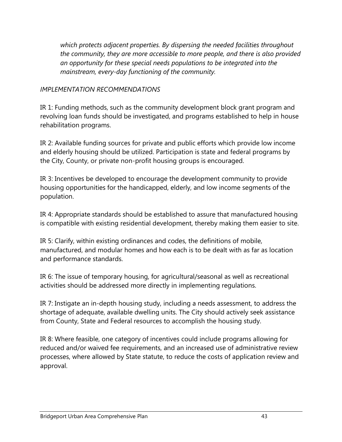*which protects adjacent properties. By dispersing the needed facilities throughout the community, they are more accessible to more people, and there is also provided an opportunity for these special needs populations to be integrated into the mainstream, every-day functioning of the community.* 

## *IMPLEMENTATION RECOMMENDATIONS*

IR 1: Funding methods, such as the community development block grant program and revolving loan funds should be investigated, and programs established to help in house rehabilitation programs.

IR 2: Available funding sources for private and public efforts which provide low income and elderly housing should be utilized. Participation is state and federal programs by the City, County, or private non-profit housing groups is encouraged.

IR 3: Incentives be developed to encourage the development community to provide housing opportunities for the handicapped, elderly, and low income segments of the population.

IR 4: Appropriate standards should be established to assure that manufactured housing is compatible with existing residential development, thereby making them easier to site.

IR 5: Clarify, within existing ordinances and codes, the definitions of mobile, manufactured, and modular homes and how each is to be dealt with as far as location and performance standards.

IR 6: The issue of temporary housing, for agricultural/seasonal as well as recreational activities should be addressed more directly in implementing regulations.

IR 7: Instigate an in-depth housing study, including a needs assessment, to address the shortage of adequate, available dwelling units. The City should actively seek assistance from County, State and Federal resources to accomplish the housing study.

IR 8: Where feasible, one category of incentives could include programs allowing for reduced and/or waived fee requirements, and an increased use of administrative review processes, where allowed by State statute, to reduce the costs of application review and approval.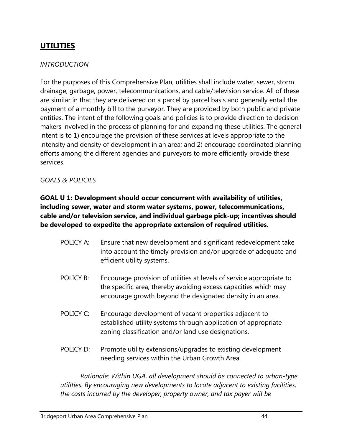# **UTILITIES**

### *INTRODUCTION*

For the purposes of this Comprehensive Plan, utilities shall include water, sewer, storm drainage, garbage, power, telecommunications, and cable/television service. All of these are similar in that they are delivered on a parcel by parcel basis and generally entail the payment of a monthly bill to the purveyor. They are provided by both public and private entities. The intent of the following goals and policies is to provide direction to decision makers involved in the process of planning for and expanding these utilities. The general intent is to 1) encourage the provision of these services at levels appropriate to the intensity and density of development in an area; and 2) encourage coordinated planning efforts among the different agencies and purveyors to more efficiently provide these services.

#### *GOALS & POLICIES*

### **GOAL U 1: Development should occur concurrent with availability of utilities, including sewer, water and storm water systems, power, telecommunications, cable and/or television service, and individual garbage pick-up; incentives should be developed to expedite the appropriate extension of required utilities.**

- POLICY A: Ensure that new development and significant redevelopment take into account the timely provision and/or upgrade of adequate and efficient utility systems.
- POLICY B: Encourage provision of utilities at levels of service appropriate to the specific area, thereby avoiding excess capacities which may encourage growth beyond the designated density in an area.
- POLICY C: Encourage development of vacant properties adjacent to established utility systems through application of appropriate zoning classification and/or land use designations.
- POLICY D: Promote utility extensions/upgrades to existing development needing services within the Urban Growth Area.

*Rationale: Within UGA, all development should be connected to urban-type utilities. By encouraging new developments to locate adjacent to existing facilities, the costs incurred by the developer, property owner, and tax payer will be*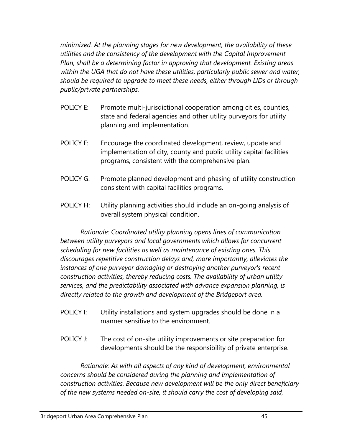*minimized. At the planning stages for new development, the availability of these utilities and the consistency of the development with the Capital Improvement Plan, shall be a determining factor in approving that development. Existing areas within the UGA that do not have these utilities, particularly public sewer and water, should be required to upgrade to meet these needs, either through LIDs or through public/private partnerships.* 

- POLICY E: Promote multi-jurisdictional cooperation among cities, counties, state and federal agencies and other utility purveyors for utility planning and implementation.
- POLICY F: Encourage the coordinated development, review, update and implementation of city, county and public utility capital facilities programs, consistent with the comprehensive plan.
- POLICY G: Promote planned development and phasing of utility construction consistent with capital facilities programs.
- POLICY H: Utility planning activities should include an on-going analysis of overall system physical condition.

*Rationale: Coordinated utility planning opens lines of communication between utility purveyors and local governments which allows for concurrent scheduling for new facilities as well as maintenance of existing ones. This discourages repetitive construction delays and, more importantly, alleviates the instances of one purveyor damaging or destroying another purveyor's recent construction activities, thereby reducing costs. The availability of urban utility services, and the predictability associated with advance expansion planning, is directly related to the growth and development of the Bridgeport area.* 

- POLICY I: Utility installations and system upgrades should be done in a manner sensitive to the environment.
- POLICY J: The cost of on-site utility improvements or site preparation for developments should be the responsibility of private enterprise.

*Rationale: As with all aspects of any kind of development, environmental concerns should be considered during the planning and implementation of construction activities. Because new development will be the only direct beneficiary of the new systems needed on-site, it should carry the cost of developing said,*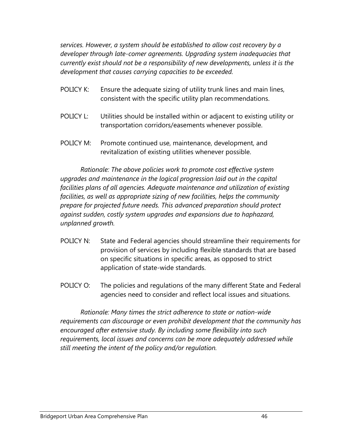*services. However, a system should be established to allow cost recovery by a developer through late-comer agreements. Upgrading system inadequacies that currently exist should not be a responsibility of new developments, unless it is the development that causes carrying capacities to be exceeded.* 

- POLICY K: Ensure the adequate sizing of utility trunk lines and main lines, consistent with the specific utility plan recommendations.
- POLICY L: Utilities should be installed within or adjacent to existing utility or transportation corridors/easements whenever possible.
- POLICY M: Promote continued use, maintenance, development, and revitalization of existing utilities whenever possible.

*Rationale: The above policies work to promote cost effective system upgrades and maintenance in the logical progression laid out in the capital facilities plans of all agencies. Adequate maintenance and utilization of existing facilities, as well as appropriate sizing of new facilities, helps the community prepare for projected future needs. This advanced preparation should protect against sudden, costly system upgrades and expansions due to haphazard, unplanned growth.* 

- POLICY N: State and Federal agencies should streamline their requirements for provision of services by including flexible standards that are based on specific situations in specific areas, as opposed to strict application of state-wide standards.
- POLICY O: The policies and regulations of the many different State and Federal agencies need to consider and reflect local issues and situations.

*Rationale: Many times the strict adherence to state or nation-wide requirements can discourage or even prohibit development that the community has encouraged after extensive study. By including some flexibility into such requirements, local issues and concerns can be more adequately addressed while still meeting the intent of the policy and/or regulation.*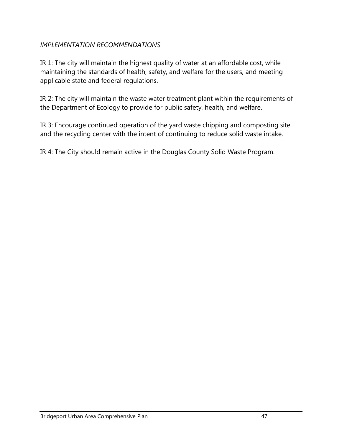# *IMPLEMENTATION RECOMMENDATIONS*

IR 1: The city will maintain the highest quality of water at an affordable cost, while maintaining the standards of health, safety, and welfare for the users, and meeting applicable state and federal regulations.

IR 2: The city will maintain the waste water treatment plant within the requirements of the Department of Ecology to provide for public safety, health, and welfare.

IR 3: Encourage continued operation of the yard waste chipping and composting site and the recycling center with the intent of continuing to reduce solid waste intake.

IR 4: The City should remain active in the Douglas County Solid Waste Program.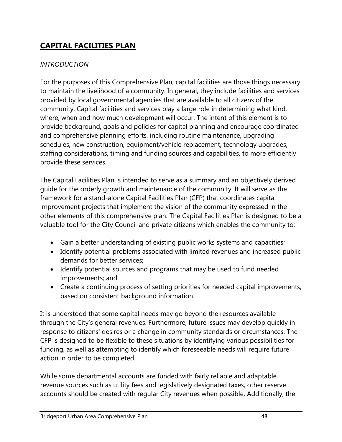# **CAPITAL FACILITIES PLAN**

# *INTRODUCTION*

For the purposes of this Comprehensive Plan, capital facilities are those things necessary to maintain the livelihood of a community. In general, they include facilities and services provided by local governmental agencies that are available to all citizens of the community. Capital facilities and services play a large role in determining what kind, where, when and how much development will occur. The intent of this element is to provide background, goals and policies for capital planning and encourage coordinated and comprehensive planning efforts, including routine maintenance, upgrading schedules, new construction, equipment/vehicle replacement, technology upgrades, staffing considerations, timing and funding sources and capabilities, to more efficiently provide these services.

The Capital Facilities Plan is intended to serve as a summary and an objectively derived guide for the orderly growth and maintenance of the community. It will serve as the framework for a stand-alone Capital Facilities Plan (CFP) that coordinates capital improvement projects that implement the vision of the community expressed in the other elements of this comprehensive plan. The Capital Facilities Plan is designed to be a valuable tool for the City Council and private citizens which enables the community to:

- Gain a better understanding of existing public works systems and capacities;
- Identify potential problems associated with limited revenues and increased public demands for better services;
- Identify potential sources and programs that may be used to fund needed improvements; and
- Create a continuing process of setting priorities for needed capital improvements, based on consistent background information.

It is understood that some capital needs may go beyond the resources available through the City's general revenues. Furthermore, future issues may develop quickly in response to citizens' desires or a change in community standards or circumstances. The CFP is designed to be flexible to these situations by identifying various possibilities for funding, as well as attempting to identify which foreseeable needs will require future action in order to be completed.

While some departmental accounts are funded with fairly reliable and adaptable revenue sources such as utility fees and legislatively designated taxes, other reserve accounts should be created with regular City revenues when possible. Additionally, the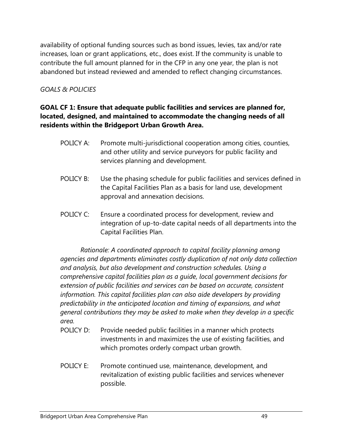availability of optional funding sources such as bond issues, levies, tax and/or rate increases, loan or grant applications, etc., does exist. If the community is unable to contribute the full amount planned for in the CFP in any one year, the plan is not abandoned but instead reviewed and amended to reflect changing circumstances.

# *GOALS & POLICIES*

## **GOAL CF 1: Ensure that adequate public facilities and services are planned for, located, designed, and maintained to accommodate the changing needs of all residents within the Bridgeport Urban Growth Area.**

- POLICY A: Promote multi-jurisdictional cooperation among cities, counties, and other utility and service purveyors for public facility and services planning and development.
- POLICY B: Use the phasing schedule for public facilities and services defined in the Capital Facilities Plan as a basis for land use, development approval and annexation decisions.
- POLICY C: Ensure a coordinated process for development, review and integration of up-to-date capital needs of all departments into the Capital Facilities Plan.

*Rationale: A coordinated approach to capital facility planning among agencies and departments eliminates costly duplication of not only data collection and analysis, but also development and construction schedules. Using a comprehensive capital facilities plan as a guide, local government decisions for extension of public facilities and services can be based on accurate, consistent information. This capital facilities plan can also aide developers by providing predictability in the anticipated location and timing of expansions, and what general contributions they may be asked to make when they develop in a specific area.* 

- POLICY D: Provide needed public facilities in a manner which protects investments in and maximizes the use of existing facilities, and which promotes orderly compact urban growth.
- POLICY E: Promote continued use, maintenance, development, and revitalization of existing public facilities and services whenever possible.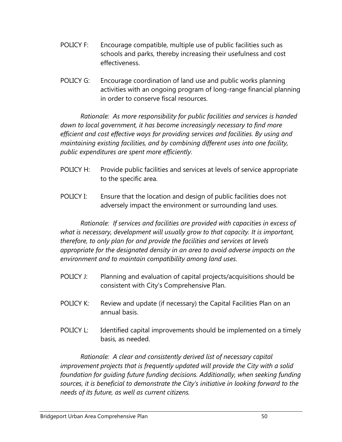- POLICY F: Encourage compatible, multiple use of public facilities such as schools and parks, thereby increasing their usefulness and cost effectiveness.
- POLICY G: Encourage coordination of land use and public works planning activities with an ongoing program of long-range financial planning in order to conserve fiscal resources.

*Rationale: As more responsibility for public facilities and services is handed down to local government, it has become increasingly necessary to find more efficient and cost effective ways for providing services and facilities. By using and maintaining existing facilities, and by combining different uses into one facility, public expenditures are spent more efficiently.* 

- POLICY H: Provide public facilities and services at levels of service appropriate to the specific area.
- POLICY I: Ensure that the location and design of public facilities does not adversely impact the environment or surrounding land uses.

*Rationale: If services and facilities are provided with capacities in excess of what is necessary, development will usually grow to that capacity. It is important, therefore, to only plan for and provide the facilities and services at levels appropriate for the designated density in an area to avoid adverse impacts on the environment and to maintain compatibility among land uses.* 

- POLICY J: Planning and evaluation of capital projects/acquisitions should be consistent with City's Comprehensive Plan.
- POLICY K: Review and update (if necessary) the Capital Facilities Plan on an annual basis.
- POLICY L: Identified capital improvements should be implemented on a timely basis, as needed.

*Rationale: A clear and consistently derived list of necessary capital improvement projects that is frequently updated will provide the City with a solid foundation for guiding future funding decisions. Additionally, when seeking funding sources, it is beneficial to demonstrate the City's initiative in looking forward to the needs of its future, as well as current citizens.*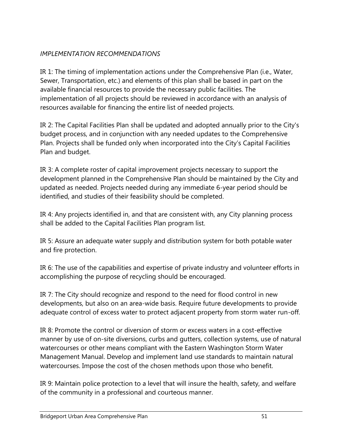# *IMPLEMENTATION RECOMMENDATIONS*

IR 1: The timing of implementation actions under the Comprehensive Plan (i.e., Water, Sewer, Transportation, etc.) and elements of this plan shall be based in part on the available financial resources to provide the necessary public facilities. The implementation of all projects should be reviewed in accordance with an analysis of resources available for financing the entire list of needed projects.

IR 2: The Capital Facilities Plan shall be updated and adopted annually prior to the City's budget process, and in conjunction with any needed updates to the Comprehensive Plan. Projects shall be funded only when incorporated into the City's Capital Facilities Plan and budget.

IR 3: A complete roster of capital improvement projects necessary to support the development planned in the Comprehensive Plan should be maintained by the City and updated as needed. Projects needed during any immediate 6-year period should be identified, and studies of their feasibility should be completed.

IR 4: Any projects identified in, and that are consistent with, any City planning process shall be added to the Capital Facilities Plan program list.

IR 5: Assure an adequate water supply and distribution system for both potable water and fire protection.

IR 6: The use of the capabilities and expertise of private industry and volunteer efforts in accomplishing the purpose of recycling should be encouraged.

IR 7: The City should recognize and respond to the need for flood control in new developments, but also on an area-wide basis. Require future developments to provide adequate control of excess water to protect adjacent property from storm water run-off.

IR 8: Promote the control or diversion of storm or excess waters in a cost-effective manner by use of on-site diversions, curbs and gutters, collection systems, use of natural watercourses or other means compliant with the Eastern Washington Storm Water Management Manual. Develop and implement land use standards to maintain natural watercourses. Impose the cost of the chosen methods upon those who benefit.

IR 9: Maintain police protection to a level that will insure the health, safety, and welfare of the community in a professional and courteous manner.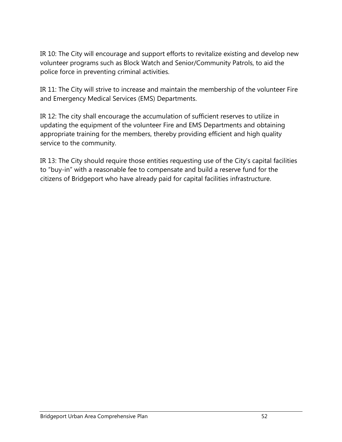IR 10: The City will encourage and support efforts to revitalize existing and develop new volunteer programs such as Block Watch and Senior/Community Patrols, to aid the police force in preventing criminal activities.

IR 11: The City will strive to increase and maintain the membership of the volunteer Fire and Emergency Medical Services (EMS) Departments.

IR 12: The city shall encourage the accumulation of sufficient reserves to utilize in updating the equipment of the volunteer Fire and EMS Departments and obtaining appropriate training for the members, thereby providing efficient and high quality service to the community.

IR 13: The City should require those entities requesting use of the City's capital facilities to "buy-in" with a reasonable fee to compensate and build a reserve fund for the citizens of Bridgeport who have already paid for capital facilities infrastructure.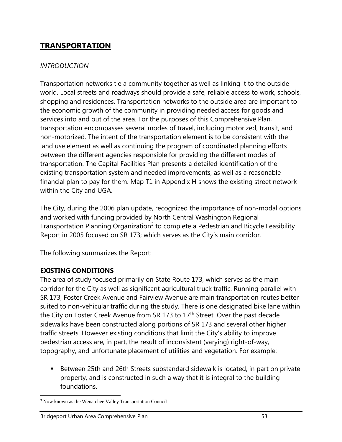# **TRANSPORTATION**

### *INTRODUCTION*

Transportation networks tie a community together as well as linking it to the outside world. Local streets and roadways should provide a safe, reliable access to work, schools, shopping and residences. Transportation networks to the outside area are important to the economic growth of the community in providing needed access for goods and services into and out of the area. For the purposes of this Comprehensive Plan, transportation encompasses several modes of travel, including motorized, transit, and non-motorized. The intent of the transportation element is to be consistent with the land use element as well as continuing the program of coordinated planning efforts between the different agencies responsible for providing the different modes of transportation. The Capital Facilities Plan presents a detailed identification of the existing transportation system and needed improvements, as well as a reasonable financial plan to pay for them. Map T1 in Appendix H shows the existing street network within the City and UGA.

The City, during the 2006 plan update, recognized the importance of non-modal options and worked with funding provided by North Central Washington Regional Transportation Planning Organization<sup>3</sup> to complete a Pedestrian and Bicycle Feasibility Report in 2005 focused on SR 173; which serves as the City's main corridor.

The following summarizes the Report:

## **EXISTING CONDITIONS**

The area of study focused primarily on State Route 173, which serves as the main corridor for the City as well as significant agricultural truck traffic. Running parallel with SR 173, Foster Creek Avenue and Fairview Avenue are main transportation routes better suited to non-vehicular traffic during the study. There is one designated bike lane within the City on Foster Creek Avenue from SR 173 to  $17<sup>th</sup>$  Street. Over the past decade sidewalks have been constructed along portions of SR 173 and several other higher traffic streets. However existing conditions that limit the City's ability to improve pedestrian access are, in part, the result of inconsistent (varying) right-of-way, topography, and unfortunate placement of utilities and vegetation. For example:

 Between 25th and 26th Streets substandard sidewalk is located, in part on private property, and is constructed in such a way that it is integral to the building foundations.

 $\overline{\phantom{a}}$ <sup>3</sup> Now known as the Wenatchee Valley Transportation Council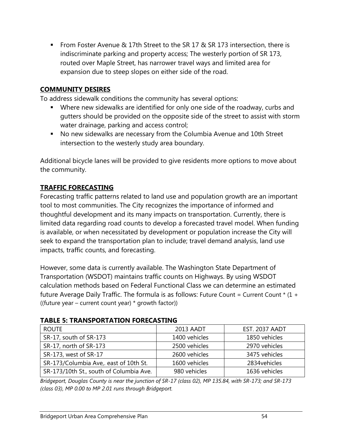■ From Foster Avenue & 17th Street to the SR 17 & SR 173 intersection, there is indiscriminate parking and property access; The westerly portion of SR 173, routed over Maple Street, has narrower travel ways and limited area for expansion due to steep slopes on either side of the road.

# **COMMUNITY DESIRES**

To address sidewalk conditions the community has several options:

- Where new sidewalks are identified for only one side of the roadway, curbs and gutters should be provided on the opposite side of the street to assist with storm water drainage, parking and access control;
- No new sidewalks are necessary from the Columbia Avenue and 10th Street intersection to the westerly study area boundary.

Additional bicycle lanes will be provided to give residents more options to move about the community.

# **TRAFFIC FORECASTING**

Forecasting traffic patterns related to land use and population growth are an important tool to most communities. The City recognizes the importance of informed and thoughtful development and its many impacts on transportation. Currently, there is limited data regarding road counts to develop a forecasted travel model. When funding is available, or when necessitated by development or population increase the City will seek to expand the transportation plan to include; travel demand analysis, land use impacts, traffic counts, and forecasting.

However, some data is currently available. The Washington State Department of Transportation (WSDOT) maintains traffic counts on Highways. By using WSDOT calculation methods based on Federal Functional Class we can determine an estimated future Average Daily Traffic. The formula is as follows: Future Count = Current Count  $*$  (1 + ((future year – current count year) \* growth factor))

| <b>ROUTE</b>                            | 2013 AADT     | <b>EST. 2037 AADT</b> |
|-----------------------------------------|---------------|-----------------------|
| SR-17, south of SR-173                  | 1400 vehicles | 1850 vehicles         |
| SR-17, north of SR-173                  | 2500 vehicles | 2970 vehicles         |
| SR-173, west of SR-17                   | 2600 vehicles | 3475 vehicles         |
| SR-173/Columbia Ave,. east of 10th St.  | 1600 vehicles | 2834 vehicles         |
| SR-173/10th St., south of Columbia Ave. | 980 vehicles  | 1636 vehicles         |

#### **TABLE 5: TRANSPORTATION FORECASTING**

*Bridgeport, Douglas County is near the junction of SR-17 (class 02), MP 135.84, with SR-173; and SR-173 (class 03), MP 0.00 to MP 2.01 runs through Bridgeport.*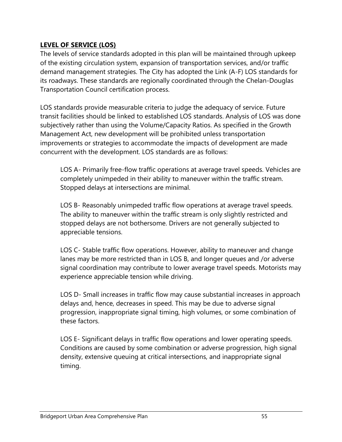# **LEVEL OF SERVICE (LOS)**

The levels of service standards adopted in this plan will be maintained through upkeep of the existing circulation system, expansion of transportation services, and/or traffic demand management strategies. The City has adopted the Link (A-F) LOS standards for its roadways. These standards are regionally coordinated through the Chelan-Douglas Transportation Council certification process.

LOS standards provide measurable criteria to judge the adequacy of service. Future transit facilities should be linked to established LOS standards. Analysis of LOS was done subjectively rather than using the Volume/Capacity Ratios. As specified in the Growth Management Act, new development will be prohibited unless transportation improvements or strategies to accommodate the impacts of development are made concurrent with the development. LOS standards are as follows:

LOS A- Primarily free-flow traffic operations at average travel speeds. Vehicles are completely unimpeded in their ability to maneuver within the traffic stream. Stopped delays at intersections are minimal.

LOS B- Reasonably unimpeded traffic flow operations at average travel speeds. The ability to maneuver within the traffic stream is only slightly restricted and stopped delays are not bothersome. Drivers are not generally subjected to appreciable tensions.

LOS C- Stable traffic flow operations. However, ability to maneuver and change lanes may be more restricted than in LOS B, and longer queues and /or adverse signal coordination may contribute to lower average travel speeds. Motorists may experience appreciable tension while driving.

LOS D- Small increases in traffic flow may cause substantial increases in approach delays and, hence, decreases in speed. This may be due to adverse signal progression, inappropriate signal timing, high volumes, or some combination of these factors.

LOS E- Significant delays in traffic flow operations and lower operating speeds. Conditions are caused by some combination or adverse progression, high signal density, extensive queuing at critical intersections, and inappropriate signal timing.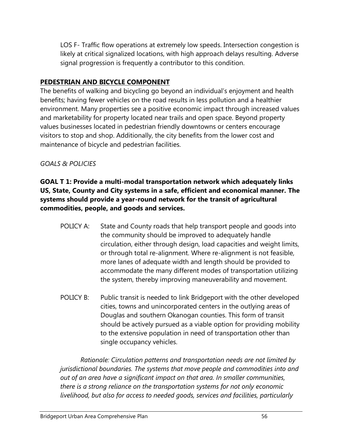LOS F- Traffic flow operations at extremely low speeds. Intersection congestion is likely at critical signalized locations, with high approach delays resulting. Adverse signal progression is frequently a contributor to this condition.

# **PEDESTRIAN AND BICYCLE COMPONENT**

The benefits of walking and bicycling go beyond an individual's enjoyment and health benefits; having fewer vehicles on the road results in less pollution and a healthier environment. Many properties see a positive economic impact through increased values and marketability for property located near trails and open space. Beyond property values businesses located in pedestrian friendly downtowns or centers encourage visitors to stop and shop. Additionally, the city benefits from the lower cost and maintenance of bicycle and pedestrian facilities.

# *GOALS & POLICIES*

**GOAL T 1: Provide a multi-modal transportation network which adequately links US, State, County and City systems in a safe, efficient and economical manner. The systems should provide a year-round network for the transit of agricultural commodities, people, and goods and services.** 

- POLICY A: State and County roads that help transport people and goods into the community should be improved to adequately handle circulation, either through design, load capacities and weight limits, or through total re-alignment. Where re-alignment is not feasible, more lanes of adequate width and length should be provided to accommodate the many different modes of transportation utilizing the system, thereby improving maneuverability and movement.
- POLICY B: Public transit is needed to link Bridgeport with the other developed cities, towns and unincorporated centers in the outlying areas of Douglas and southern Okanogan counties. This form of transit should be actively pursued as a viable option for providing mobility to the extensive population in need of transportation other than single occupancy vehicles.

*Rationale: Circulation patterns and transportation needs are not limited by jurisdictional boundaries. The systems that move people and commodities into and out of an area have a significant impact on that area. In smaller communities, there is a strong reliance on the transportation systems for not only economic livelihood, but also for access to needed goods, services and facilities, particularly*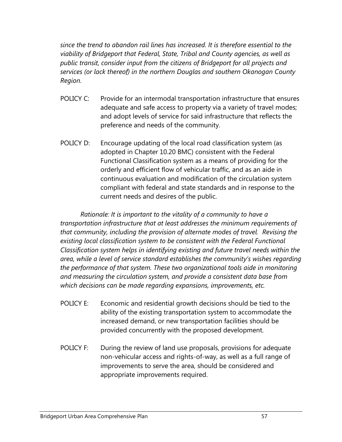*since the trend to abandon rail lines has increased. It is therefore essential to the viability of Bridgeport that Federal, State, Tribal and County agencies, as well as public transit, consider input from the citizens of Bridgeport for all projects and services (or lack thereof) in the northern Douglas and southern Okanogan County Region.* 

- POLICY C: Provide for an intermodal transportation infrastructure that ensures adequate and safe access to property via a variety of travel modes; and adopt levels of service for said infrastructure that reflects the preference and needs of the community.
- POLICY D: Encourage updating of the local road classification system (as adopted in Chapter 10.20 BMC) consistent with the Federal Functional Classification system as a means of providing for the orderly and efficient flow of vehicular traffic, and as an aide in continuous evaluation and modification of the circulation system compliant with federal and state standards and in response to the current needs and desires of the public.

*Rationale: It is important to the vitality of a community to have a transportation infrastructure that at least addresses the minimum requirements of that community, including the provision of alternate modes of travel. Revising the existing local classification system to be consistent with the Federal Functional Classification system helps in identifying existing and future travel needs within the area, while a level of service standard establishes the community's wishes regarding the performance of that system. These two organizational tools aide in monitoring and measuring the circulation system, and provide a consistent data base from which decisions can be made regarding expansions, improvements, etc.* 

- POLICY E: Economic and residential growth decisions should be tied to the ability of the existing transportation system to accommodate the increased demand, or new transportation facilities should be provided concurrently with the proposed development.
- POLICY F: During the review of land use proposals, provisions for adequate non-vehicular access and rights-of-way, as well as a full range of improvements to serve the area, should be considered and appropriate improvements required.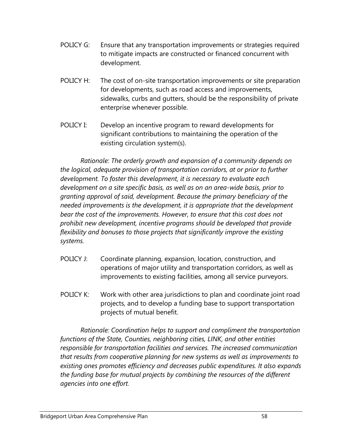- POLICY G: Ensure that any transportation improvements or strategies required to mitigate impacts are constructed or financed concurrent with development.
- POLICY H: The cost of on-site transportation improvements or site preparation for developments, such as road access and improvements, sidewalks, curbs and gutters, should be the responsibility of private enterprise whenever possible.
- POLICY I: Develop an incentive program to reward developments for significant contributions to maintaining the operation of the existing circulation system(s).

*Rationale: The orderly growth and expansion of a community depends on the logical, adequate provision of transportation corridors, at or prior to further development. To foster this development, it is necessary to evaluate each development on a site specific basis, as well as on an area-wide basis, prior to granting approval of said, development. Because the primary beneficiary of the needed improvements is the development, it is appropriate that the development bear the cost of the improvements. However, to ensure that this cost does not prohibit new development, incentive programs should be developed that provide flexibility and bonuses to those projects that significantly improve the existing systems.* 

- POLICY J: Coordinate planning, expansion, location, construction, and operations of major utility and transportation corridors, as well as improvements to existing facilities, among all service purveyors.
- POLICY K: Work with other area jurisdictions to plan and coordinate joint road projects, and to develop a funding base to support transportation projects of mutual benefit.

*Rationale: Coordination helps to support and compliment the transportation functions of the State, Counties, neighboring cities, LINK, and other entities responsible for transportation facilities and services. The increased communication that results from cooperative planning for new systems as well as improvements to existing ones promotes efficiency and decreases public expenditures. It also expands the funding base for mutual projects by combining the resources of the different agencies into one effort.*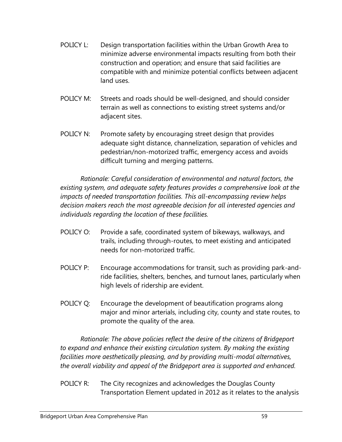- POLICY L: Design transportation facilities within the Urban Growth Area to minimize adverse environmental impacts resulting from both their construction and operation; and ensure that said facilities are compatible with and minimize potential conflicts between adjacent land uses.
- POLICY M: Streets and roads should be well-designed, and should consider terrain as well as connections to existing street systems and/or adjacent sites.
- POLICY N: Promote safety by encouraging street design that provides adequate sight distance, channelization, separation of vehicles and pedestrian/non-motorized traffic, emergency access and avoids difficult turning and merging patterns.

*Rationale: Careful consideration of environmental and natural factors, the existing system, and adequate safety features provides a comprehensive look at the impacts of needed transportation facilities. This all-encompassing review helps decision makers reach the most agreeable decision for all interested agencies and individuals regarding the location of these facilities.* 

- POLICY O: Provide a safe, coordinated system of bikeways, walkways, and trails, including through-routes, to meet existing and anticipated needs for non-motorized traffic.
- POLICY P: Encourage accommodations for transit, such as providing park-andride facilities, shelters, benches, and turnout lanes, particularly when high levels of ridership are evident.
- POLICY Q: Encourage the development of beautification programs along major and minor arterials, including city, county and state routes, to promote the quality of the area.

*Rationale: The above policies reflect the desire of the citizens of Bridgeport to expand and enhance their existing circulation system. By making the existing facilities more aesthetically pleasing, and by providing multi-modal alternatives, the overall viability and appeal of the Bridgeport area is supported and enhanced.* 

POLICY R: The City recognizes and acknowledges the Douglas County Transportation Element updated in 2012 as it relates to the analysis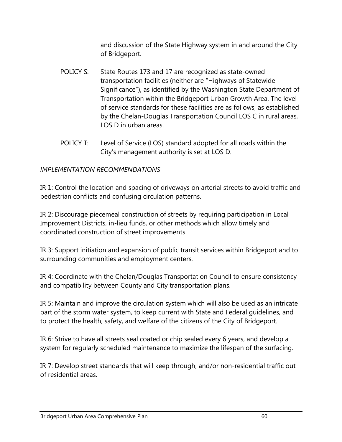and discussion of the State Highway system in and around the City of Bridgeport.

- POLICY S: State Routes 173 and 17 are recognized as state-owned transportation facilities (neither are "Highways of Statewide Significance"), as identified by the Washington State Department of Transportation within the Bridgeport Urban Growth Area. The level of service standards for these facilities are as follows, as established by the Chelan-Douglas Transportation Council LOS C in rural areas, LOS D in urban areas.
- POLICY T: Level of Service (LOS) standard adopted for all roads within the City's management authority is set at LOS D.

## *IMPLEMENTATION RECOMMENDATIONS*

IR 1: Control the location and spacing of driveways on arterial streets to avoid traffic and pedestrian conflicts and confusing circulation patterns.

IR 2: Discourage piecemeal construction of streets by requiring participation in Local Improvement Districts, in-lieu funds, or other methods which allow timely and coordinated construction of street improvements.

IR 3: Support initiation and expansion of public transit services within Bridgeport and to surrounding communities and employment centers.

IR 4: Coordinate with the Chelan/Douglas Transportation Council to ensure consistency and compatibility between County and City transportation plans.

IR 5: Maintain and improve the circulation system which will also be used as an intricate part of the storm water system, to keep current with State and Federal guidelines, and to protect the health, safety, and welfare of the citizens of the City of Bridgeport.

IR 6: Strive to have all streets seal coated or chip sealed every 6 years, and develop a system for regularly scheduled maintenance to maximize the lifespan of the surfacing.

IR 7: Develop street standards that will keep through, and/or non-residential traffic out of residential areas.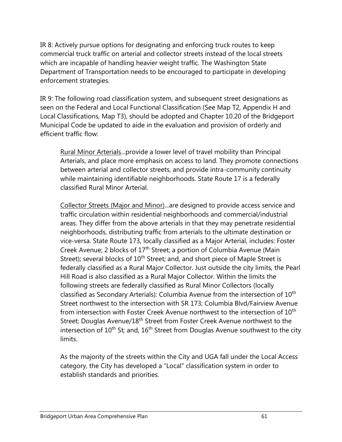IR 8: Actively pursue options for designating and enforcing truck routes to keep commercial truck traffic on arterial and collector streets instead of the local streets which are incapable of handling heavier weight traffic. The Washington State Department of Transportation needs to be encouraged to participate in developing enforcement strategies.

IR 9: The following road classification system, and subsequent street designations as seen on the Federal and Local Functional Classification (See Map T2, Appendix H and Local Classifications, Map T3), should be adopted and Chapter 10.20 of the Bridgeport Municipal Code be updated to aide in the evaluation and provision of orderly and efficient traffic flow:

Rural Minor Arterials...provide a lower level of travel mobility than Principal Arterials, and place more emphasis on access to land. They promote connections between arterial and collector streets, and provide intra-community continuity while maintaining identifiable neighborhoods. State Route 17 is a federally classified Rural Minor Arterial.

Collector Streets (Major and Minor)...are designed to provide access service and traffic circulation within residential neighborhoods and commercial/industrial areas. They differ from the above arterials in that they may penetrate residential neighborhoods, distributing traffic from arterials to the ultimate destination or vice-versa. State Route 173, locally classified as a Major Arterial, includes: Foster Creek Avenue; 2 blocks of 17<sup>th</sup> Street; a portion of Columbia Avenue (Main Street); several blocks of  $10<sup>th</sup>$  Street; and, and short piece of Maple Street is federally classified as a Rural Major Collector. Just outside the city limits, the Pearl Hill Road is also classified as a Rural Major Collector. Within the limits the following streets are federally classified as Rural Minor Collectors (locally classified as Secondary Arterials): Columbia Avenue from the intersection of  $10<sup>th</sup>$ Street northwest to the intersection with SR 173; Columbia Blvd/Fairview Avenue from intersection with Foster Creek Avenue northwest to the intersection of 10<sup>th</sup> Street; Douglas Avenue/18<sup>th</sup> Street from Foster Creek Avenue northwest to the intersection of  $10^{th}$  St; and,  $16^{th}$  Street from Douglas Avenue southwest to the city limits.

As the majority of the streets within the City and UGA fall under the Local Access category, the City has developed a "Local" classification system in order to establish standards and priorities.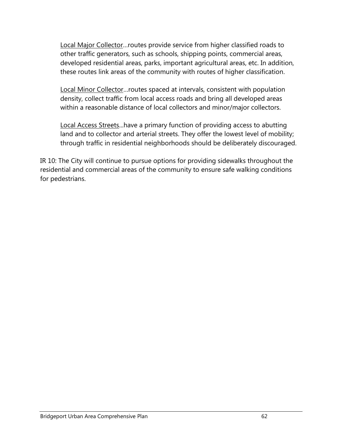Local Major Collector…routes provide service from higher classified roads to other traffic generators, such as schools, shipping points, commercial areas, developed residential areas, parks, important agricultural areas, etc. In addition, these routes link areas of the community with routes of higher classification.

Local Minor Collector…routes spaced at intervals, consistent with population density, collect traffic from local access roads and bring all developed areas within a reasonable distance of local collectors and minor/major collectors.

Local Access Streets...have a primary function of providing access to abutting land and to collector and arterial streets. They offer the lowest level of mobility; through traffic in residential neighborhoods should be deliberately discouraged.

IR 10: The City will continue to pursue options for providing sidewalks throughout the residential and commercial areas of the community to ensure safe walking conditions for pedestrians.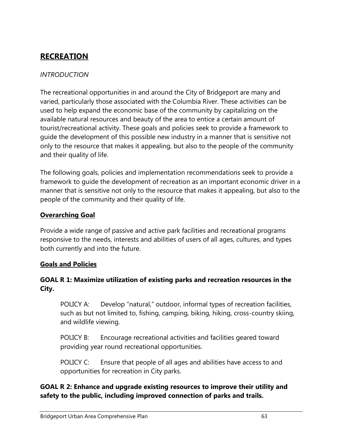# **RECREATION**

# *INTRODUCTION*

The recreational opportunities in and around the City of Bridgeport are many and varied, particularly those associated with the Columbia River. These activities can be used to help expand the economic base of the community by capitalizing on the available natural resources and beauty of the area to entice a certain amount of tourist/recreational activity. These goals and policies seek to provide a framework to guide the development of this possible new industry in a manner that is sensitive not only to the resource that makes it appealing, but also to the people of the community and their quality of life.

The following goals, policies and implementation recommendations seek to provide a framework to guide the development of recreation as an important economic driver in a manner that is sensitive not only to the resource that makes it appealing, but also to the people of the community and their quality of life.

# **Overarching Goal**

Provide a wide range of passive and active park facilities and recreational programs responsive to the needs, interests and abilities of users of all ages, cultures, and types both currently and into the future.

## **Goals and Policies**

## **GOAL R 1: Maximize utilization of existing parks and recreation resources in the City.**

POLICY A: Develop "natural," outdoor, informal types of recreation facilities, such as but not limited to, fishing, camping, biking, hiking, cross-country skiing, and wildlife viewing.

POLICY B: Encourage recreational activities and facilities geared toward providing year round recreational opportunities.

POLICY C: Ensure that people of all ages and abilities have access to and opportunities for recreation in City parks.

**GOAL R 2: Enhance and upgrade existing resources to improve their utility and safety to the public, including improved connection of parks and trails.**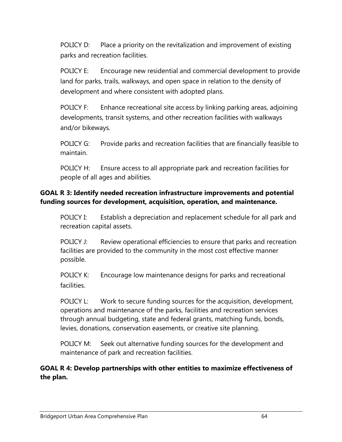POLICY D: Place a priority on the revitalization and improvement of existing parks and recreation facilities.

POLICY E: Encourage new residential and commercial development to provide land for parks, trails, walkways, and open space in relation to the density of development and where consistent with adopted plans.

POLICY F: Enhance recreational site access by linking parking areas, adjoining developments, transit systems, and other recreation facilities with walkways and/or bikeways.

POLICY G: Provide parks and recreation facilities that are financially feasible to maintain.

POLICY H: Ensure access to all appropriate park and recreation facilities for people of all ages and abilities.

# **GOAL R 3: Identify needed recreation infrastructure improvements and potential funding sources for development, acquisition, operation, and maintenance.**

POLICY I: Establish a depreciation and replacement schedule for all park and recreation capital assets.

POLICY J: Review operational efficiencies to ensure that parks and recreation facilities are provided to the community in the most cost effective manner possible.

POLICY K: Encourage low maintenance designs for parks and recreational facilities.

POLICY L: Work to secure funding sources for the acquisition, development, operations and maintenance of the parks, facilities and recreation services through annual budgeting, state and federal grants, matching funds, bonds, levies, donations, conservation easements, or creative site planning.

POLICY M: Seek out alternative funding sources for the development and maintenance of park and recreation facilities.

**GOAL R 4: Develop partnerships with other entities to maximize effectiveness of the plan.**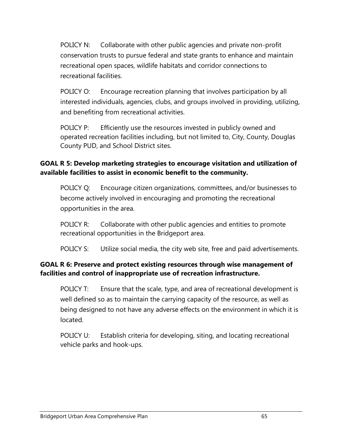POLICY N: Collaborate with other public agencies and private non-profit conservation trusts to pursue federal and state grants to enhance and maintain recreational open spaces, wildlife habitats and corridor connections to recreational facilities.

POLICY O: Encourage recreation planning that involves participation by all interested individuals, agencies, clubs, and groups involved in providing, utilizing, and benefiting from recreational activities.

POLICY P: Efficiently use the resources invested in publicly owned and operated recreation facilities including, but not limited to, City, County, Douglas County PUD, and School District sites.

# **GOAL R 5: Develop marketing strategies to encourage visitation and utilization of available facilities to assist in economic benefit to the community.**

POLICY Q: Encourage citizen organizations, committees, and/or businesses to become actively involved in encouraging and promoting the recreational opportunities in the area.

POLICY R: Collaborate with other public agencies and entities to promote recreational opportunities in the Bridgeport area.

POLICY S: Utilize social media, the city web site, free and paid advertisements.

# **GOAL R 6: Preserve and protect existing resources through wise management of facilities and control of inappropriate use of recreation infrastructure.**

POLICY T: Ensure that the scale, type, and area of recreational development is well defined so as to maintain the carrying capacity of the resource, as well as being designed to not have any adverse effects on the environment in which it is located.

POLICY U: Establish criteria for developing, siting, and locating recreational vehicle parks and hook-ups.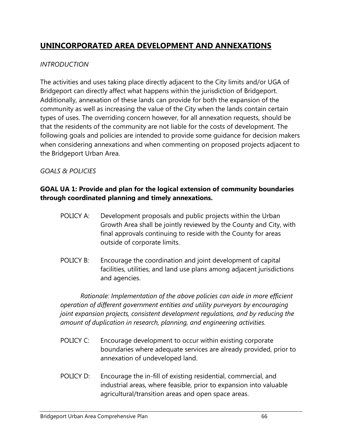# **UNINCORPORATED AREA DEVELOPMENT AND ANNEXATIONS**

# *INTRODUCTION*

The activities and uses taking place directly adjacent to the City limits and/or UGA of Bridgeport can directly affect what happens within the jurisdiction of Bridgeport. Additionally, annexation of these lands can provide for both the expansion of the community as well as increasing the value of the City when the lands contain certain types of uses. The overriding concern however, for all annexation requests, should be that the residents of the community are not liable for the costs of development. The following goals and policies are intended to provide some guidance for decision makers when considering annexations and when commenting on proposed projects adjacent to the Bridgeport Urban Area.

# *GOALS & POLICIES*

# **GOAL UA 1: Provide and plan for the logical extension of community boundaries through coordinated planning and timely annexations.**

- POLICY A: Development proposals and public projects within the Urban Growth Area shall be jointly reviewed by the County and City, with final approvals continuing to reside with the County for areas outside of corporate limits.
- POLICY B: Encourage the coordination and joint development of capital facilities, utilities, and land use plans among adjacent jurisdictions and agencies.

*Rationale: Implementation of the above policies can aide in more efficient operation of different government entities and utility purveyors by encouraging joint expansion projects, consistent development regulations, and by reducing the amount of duplication in research, planning, and engineering activities.* 

- POLICY C: Encourage development to occur within existing corporate boundaries where adequate services are already provided, prior to annexation of undeveloped land.
- POLICY D: Encourage the in-fill of existing residential, commercial, and industrial areas, where feasible, prior to expansion into valuable agricultural/transition areas and open space areas.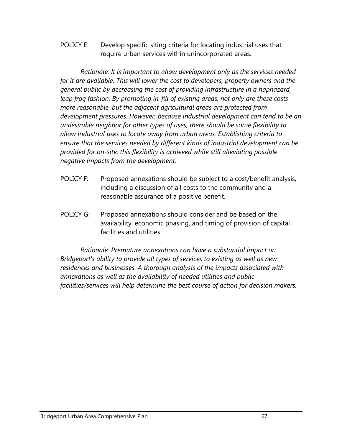POLICY E: Develop specific siting criteria for locating industrial uses that require urban services within unincorporated areas.

*Rationale: It is important to allow development only as the services needed for it are available. This will lower the cost to developers, property owners and the general public by decreasing the cost of providing infrastructure in a haphazard, leap frog fashion. By promoting in-fill of existing areas, not only are these costs more reasonable, but the adjacent agricultural areas are protected from development pressures. However, because industrial development can tend to be an undesirable neighbor for other types of uses, there should be some flexibility to allow industrial uses to locate away from urban areas. Establishing criteria to ensure that the services needed by different kinds of industrial development can be provided for on-site, this flexibility is achieved while still alleviating possible negative impacts from the development.* 

- POLICY F: Proposed annexations should be subject to a cost/benefit analysis, including a discussion of all costs to the community and a reasonable assurance of a positive benefit.
- POLICY G: Proposed annexations should consider and be based on the availability, economic phasing, and timing of provision of capital facilities and utilities.

*Rationale: Premature annexations can have a substantial impact on Bridgeport's ability to provide all types of services to existing as well as new residences and businesses. A thorough analysis of the impacts associated with annexations as well as the availability of needed utilities and public facilities/services will help determine the best course of action for decision makers.*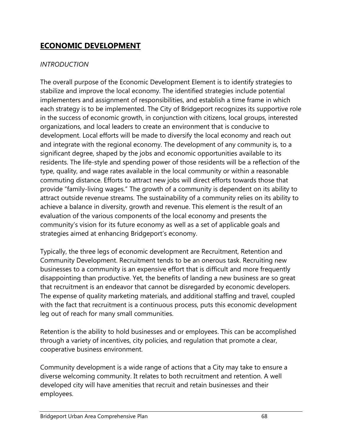# **ECONOMIC DEVELOPMENT**

# *INTRODUCTION*

The overall purpose of the Economic Development Element is to identify strategies to stabilize and improve the local economy. The identified strategies include potential implementers and assignment of responsibilities, and establish a time frame in which each strategy is to be implemented. The City of Bridgeport recognizes its supportive role in the success of economic growth, in conjunction with citizens, local groups, interested organizations, and local leaders to create an environment that is conducive to development. Local efforts will be made to diversify the local economy and reach out and integrate with the regional economy. The development of any community is, to a significant degree, shaped by the jobs and economic opportunities available to its residents. The life-style and spending power of those residents will be a reflection of the type, quality, and wage rates available in the local community or within a reasonable commuting distance. Efforts to attract new jobs will direct efforts towards those that provide "family-living wages." The growth of a community is dependent on its ability to attract outside revenue streams. The sustainability of a community relies on its ability to achieve a balance in diversity, growth and revenue. This element is the result of an evaluation of the various components of the local economy and presents the community's vision for its future economy as well as a set of applicable goals and strategies aimed at enhancing Bridgeport's economy.

Typically, the three legs of economic development are Recruitment, Retention and Community Development. Recruitment tends to be an onerous task. Recruiting new businesses to a community is an expensive effort that is difficult and more frequently disappointing than productive. Yet, the benefits of landing a new business are so great that recruitment is an endeavor that cannot be disregarded by economic developers. The expense of quality marketing materials, and additional staffing and travel, coupled with the fact that recruitment is a continuous process, puts this economic development leg out of reach for many small communities.

Retention is the ability to hold businesses and or employees. This can be accomplished through a variety of incentives, city policies, and regulation that promote a clear, cooperative business environment.

Community development is a wide range of actions that a City may take to ensure a diverse welcoming community. It relates to both recruitment and retention. A well developed city will have amenities that recruit and retain businesses and their employees.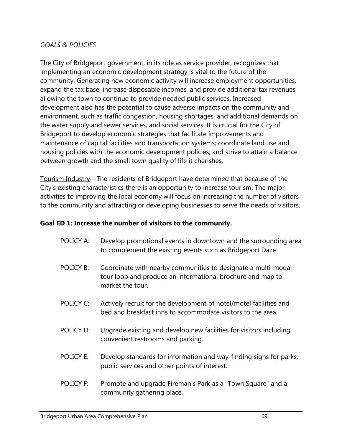### *GOALS & POLICIES*

The City of Bridgeport government, in its role as service provider, recognizes that implementing an economic development strategy is vital to the future of the community. Generating new economic activity will increase employment opportunities, expand the tax base, increase disposable incomes, and provide additional tax revenues allowing the town to continue to provide needed public services. Increased development also has the potential to cause adverse impacts on the community and environment, such as traffic congestion, housing shortages, and additional demands on the water supply and sewer services, and social services. It is crucial for the City of Bridgeport to develop economic strategies that facilitate improvements and maintenance of capital facilities and transportation systems; coordinate land use and housing policies with the economic development policies; and strive to attain a balance between growth and the small town quality of life it cherishes.

Tourism Industry—The residents of Bridgeport have determined that because of the City's existing characteristics there is an opportunity to increase tourism. The major activities to improving the local economy will focus on increasing the number of visitors to the community and attracting or developing businesses to serve the needs of visitors.

#### **Goal ED 1: Increase the number of visitors to the community.**

- POLICY A: Develop promotional events in downtown and the surrounding area to complement the existing events such as Bridgeport Daze.
- POLICY B: Coordinate with nearby communities to designate a multi-modal tour loop and produce an informational brochure and map to market the tour.
- POLICY C: Actively recruit for the development of hotel/motel facilities and bed and breakfast inns to accommodate visitors to the area.
- POLICY D: Upgrade existing and develop new facilities for visitors including convenient restrooms and parking.
- POLICY E: Develop standards for information and way-finding signs for parks, public services and other points of interest.
- POLICY F: Promote and upgrade Fireman's Park as a "Town Square" and a community gathering place.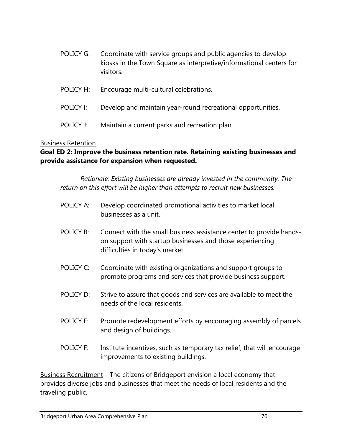| POLICY G: | Coordinate with service groups and public agencies to develop<br>kiosks in the Town Square as interpretive/informational centers for<br>visitors. |
|-----------|---------------------------------------------------------------------------------------------------------------------------------------------------|
| POLICY H: | Encourage multi-cultural celebrations.                                                                                                            |

- POLICY I: Develop and maintain year-round recreational opportunities.
- POLICY J: Maintain a current parks and recreation plan.

### Business Retention

# **Goal ED 2: Improve the business retention rate. Retaining existing businesses and provide assistance for expansion when requested.**

*Rationale: Existing businesses are already invested in the community. The return on this effort will be higher than attempts to recruit new businesses.* 

- POLICY A: Develop coordinated promotional activities to market local businesses as a unit.
- POLICY B: Connect with the small business assistance center to provide handson support with startup businesses and those experiencing difficulties in today's market.
- POLICY C: Coordinate with existing organizations and support groups to promote programs and services that provide business support.
- POLICY D: Strive to assure that goods and services are available to meet the needs of the local residents.
- POLICY E: Promote redevelopment efforts by encouraging assembly of parcels and design of buildings.
- POLICY F: Institute incentives, such as temporary tax relief, that will encourage improvements to existing buildings.

Business Recruitment—The citizens of Bridgeport envision a local economy that provides diverse jobs and businesses that meet the needs of local residents and the traveling public.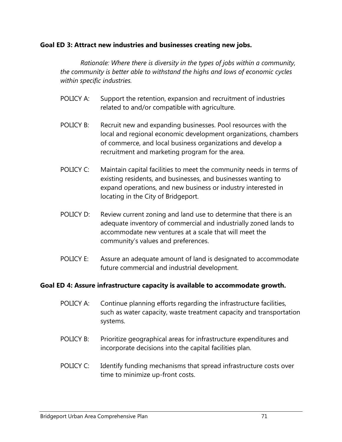#### **Goal ED 3: Attract new industries and businesses creating new jobs.**

*Rationale: Where there is diversity in the types of jobs within a community, the community is better able to withstand the highs and lows of economic cycles within specific industries.* 

- POLICY A: Support the retention, expansion and recruitment of industries related to and/or compatible with agriculture.
- POLICY B: Recruit new and expanding businesses. Pool resources with the local and regional economic development organizations, chambers of commerce, and local business organizations and develop a recruitment and marketing program for the area.
- POLICY C: Maintain capital facilities to meet the community needs in terms of existing residents, and businesses, and businesses wanting to expand operations, and new business or industry interested in locating in the City of Bridgeport.
- POLICY D: Review current zoning and land use to determine that there is an adequate inventory of commercial and industrially zoned lands to accommodate new ventures at a scale that will meet the community's values and preferences.
- POLICY E: Assure an adequate amount of land is designated to accommodate future commercial and industrial development.

#### **Goal ED 4: Assure infrastructure capacity is available to accommodate growth.**

- POLICY A: Continue planning efforts regarding the infrastructure facilities, such as water capacity, waste treatment capacity and transportation systems.
- POLICY B: Prioritize geographical areas for infrastructure expenditures and incorporate decisions into the capital facilities plan.
- POLICY C: Identify funding mechanisms that spread infrastructure costs over time to minimize up-front costs.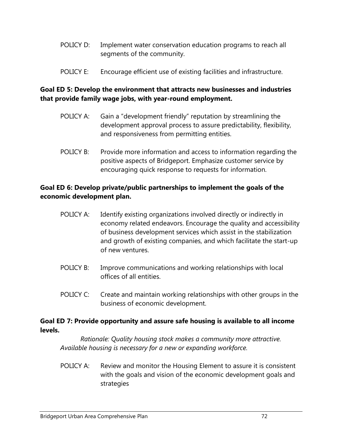- POLICY D: Implement water conservation education programs to reach all segments of the community.
- POLICY E: Encourage efficient use of existing facilities and infrastructure.

### **Goal ED 5: Develop the environment that attracts new businesses and industries that provide family wage jobs, with year-round employment.**

- POLICY A: Gain a "development friendly" reputation by streamlining the development approval process to assure predictability, flexibility, and responsiveness from permitting entities.
- POLICY B: Provide more information and access to information regarding the positive aspects of Bridgeport. Emphasize customer service by encouraging quick response to requests for information.

### **Goal ED 6: Develop private/public partnerships to implement the goals of the economic development plan.**

- POLICY A: Identify existing organizations involved directly or indirectly in economy related endeavors. Encourage the quality and accessibility of business development services which assist in the stabilization and growth of existing companies, and which facilitate the start-up of new ventures.
- POLICY B: Improve communications and working relationships with local offices of all entities.
- POLICY C: Create and maintain working relationships with other groups in the business of economic development.

#### **Goal ED 7: Provide opportunity and assure safe housing is available to all income levels.**

*Rationale: Quality housing stock makes a community more attractive. Available housing is necessary for a new or expanding workforce.* 

POLICY A: Review and monitor the Housing Element to assure it is consistent with the goals and vision of the economic development goals and strategies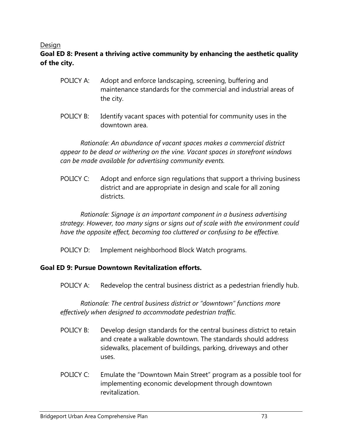#### Design

# **Goal ED 8: Present a thriving active community by enhancing the aesthetic quality of the city.**

- POLICY A: Adopt and enforce landscaping, screening, buffering and maintenance standards for the commercial and industrial areas of the city.
- POLICY B: Identify vacant spaces with potential for community uses in the downtown area.

*Rationale: An abundance of vacant spaces makes a commercial district appear to be dead or withering on the vine. Vacant spaces in storefront windows can be made available for advertising community events.* 

POLICY C: Adopt and enforce sign regulations that support a thriving business district and are appropriate in design and scale for all zoning districts.

*Rationale: Signage is an important component in a business advertising strategy. However, too many signs or signs out of scale with the environment could have the opposite effect, becoming too cluttered or confusing to be effective.* 

POLICY D: Implement neighborhood Block Watch programs.

#### **Goal ED 9: Pursue Downtown Revitalization efforts.**

POLICY A: Redevelop the central business district as a pedestrian friendly hub.

*Rationale: The central business district or "downtown" functions more effectively when designed to accommodate pedestrian traffic.* 

- POLICY B: Develop design standards for the central business district to retain and create a walkable downtown. The standards should address sidewalks, placement of buildings, parking, driveways and other uses.
- POLICY C: Emulate the "Downtown Main Street" program as a possible tool for implementing economic development through downtown revitalization.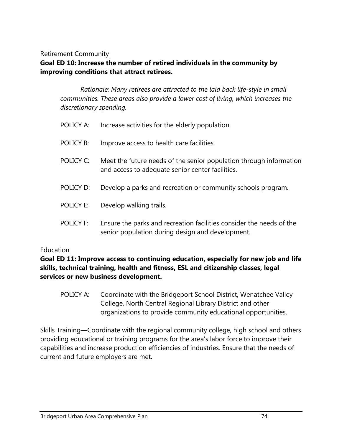#### Retirement Community

# **Goal ED 10: Increase the number of retired individuals in the community by improving conditions that attract retirees.**

*Rationale: Many retirees are attracted to the laid back life-style in small communities. These areas also provide a lower cost of living, which increases the discretionary spending.* 

|                  | POLICY A: Increase activities for the elderly population.                                                                |
|------------------|--------------------------------------------------------------------------------------------------------------------------|
| POLICY B:        | Improve access to health care facilities.                                                                                |
| POLICY C:        | Meet the future needs of the senior population through information<br>and access to adequate senior center facilities.   |
| POLICY D:        | Develop a parks and recreation or community schools program.                                                             |
| POLICY E:        | Develop walking trails.                                                                                                  |
| <b>POLICY F:</b> | Ensure the parks and recreation facilities consider the needs of the<br>senior population during design and development. |

#### Education

**Goal ED 11: Improve access to continuing education, especially for new job and life skills, technical training, health and fitness, ESL and citizenship classes, legal services or new business development.** 

POLICY A: Coordinate with the Bridgeport School District, Wenatchee Valley College, North Central Regional Library District and other organizations to provide community educational opportunities.

Skills Training—Coordinate with the regional community college, high school and others providing educational or training programs for the area's labor force to improve their capabilities and increase production efficiencies of industries. Ensure that the needs of current and future employers are met.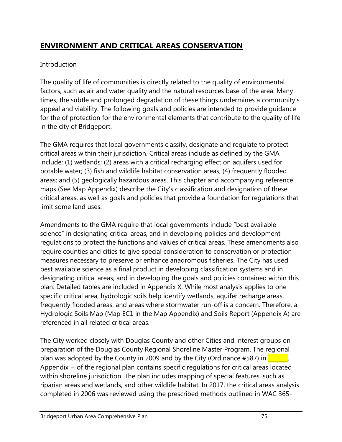# **ENVIRONMENT AND CRITICAL AREAS CONSERVATION**

### Introduction

The quality of life of communities is directly related to the quality of environmental factors, such as air and water quality and the natural resources base of the area. Many times, the subtle and prolonged degradation of these things undermines a community's appeal and viability. The following goals and policies are intended to provide guidance for the of protection for the environmental elements that contribute to the quality of life in the city of Bridgeport.

The GMA requires that local governments classify, designate and regulate to protect critical areas within their jurisdiction. Critical areas include as defined by the GMA include: (1) wetlands; (2) areas with a critical recharging effect on aquifers used for potable water; (3) fish and wildlife habitat conservation areas; (4) frequently flooded areas; and (5) geologically hazardous areas. This chapter and accompanying reference maps (See Map Appendix) describe the City's classification and designation of these critical areas, as well as goals and policies that provide a foundation for regulations that limit some land uses.

Amendments to the GMA require that local governments include "best available science" in designating critical areas, and in developing policies and development regulations to protect the functions and values of critical areas. These amendments also require counties and cities to give special consideration to conservation or protection measures necessary to preserve or enhance anadromous fisheries. The City has used best available science as a final product in developing classification systems and in designating critical areas, and in developing the goals and policies contained within this plan. Detailed tables are included in Appendix X. While most analysis applies to one specific critical area, hydrologic soils help identify wetlands, aquifer recharge areas, frequently flooded areas, and areas where stormwater run-off is a concern. Therefore, a Hydrologic Soils Map (Map EC1 in the Map Appendix) and Soils Report (Appendix A) are referenced in all related critical areas.

The City worked closely with Douglas County and other Cities and interest groups on preparation of the Douglas County Regional Shoreline Master Program. The regional plan was adopted by the County in 2009 and by the City (Ordinance #587) in  $\frac{1}{\sqrt{2\pi}}$ . Appendix H of the regional plan contains specific regulations for critical areas located within shoreline jurisdiction. The plan includes mapping of special features, such as riparian areas and wetlands, and other wildlife habitat. In 2017, the critical areas analysis completed in 2006 was reviewed using the prescribed methods outlined in WAC 365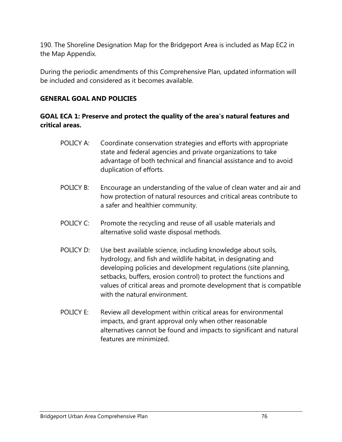190. The Shoreline Designation Map for the Bridgeport Area is included as Map EC2 in the Map Appendix.

During the periodic amendments of this Comprehensive Plan, updated information will be included and considered as it becomes available.

#### **GENERAL GOAL AND POLICIES**

# **GOAL ECA 1: Preserve and protect the quality of the area's natural features and critical areas.**

- POLICY A: Coordinate conservation strategies and efforts with appropriate state and federal agencies and private organizations to take advantage of both technical and financial assistance and to avoid duplication of efforts.
- POLICY B: Encourage an understanding of the value of clean water and air and how protection of natural resources and critical areas contribute to a safer and healthier community.
- POLICY C: Promote the recycling and reuse of all usable materials and alternative solid waste disposal methods.
- POLICY D: Use best available science, including knowledge about soils, hydrology, and fish and wildlife habitat, in designating and developing policies and development regulations (site planning, setbacks, buffers, erosion control) to protect the functions and values of critical areas and promote development that is compatible with the natural environment.
- POLICY E: Review all development within critical areas for environmental impacts, and grant approval only when other reasonable alternatives cannot be found and impacts to significant and natural features are minimized.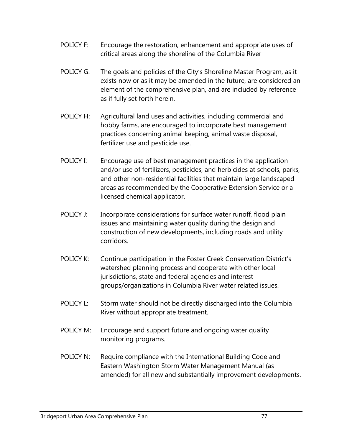- POLICY F: Encourage the restoration, enhancement and appropriate uses of critical areas along the shoreline of the Columbia River
- POLICY G: The goals and policies of the City's Shoreline Master Program, as it exists now or as it may be amended in the future, are considered an element of the comprehensive plan, and are included by reference as if fully set forth herein.
- POLICY H: Agricultural land uses and activities, including commercial and hobby farms, are encouraged to incorporate best management practices concerning animal keeping, animal waste disposal, fertilizer use and pesticide use.
- POLICY I: Encourage use of best management practices in the application and/or use of fertilizers, pesticides, and herbicides at schools, parks, and other non-residential facilities that maintain large landscaped areas as recommended by the Cooperative Extension Service or a licensed chemical applicator.
- POLICY J: Incorporate considerations for surface water runoff, flood plain issues and maintaining water quality during the design and construction of new developments, including roads and utility corridors.
- POLICY K: Continue participation in the Foster Creek Conservation District's watershed planning process and cooperate with other local jurisdictions, state and federal agencies and interest groups/organizations in Columbia River water related issues.
- POLICY L: Storm water should not be directly discharged into the Columbia River without appropriate treatment.
- POLICY M: Encourage and support future and ongoing water quality monitoring programs.
- POLICY N: Require compliance with the International Building Code and Eastern Washington Storm Water Management Manual (as amended) for all new and substantially improvement developments.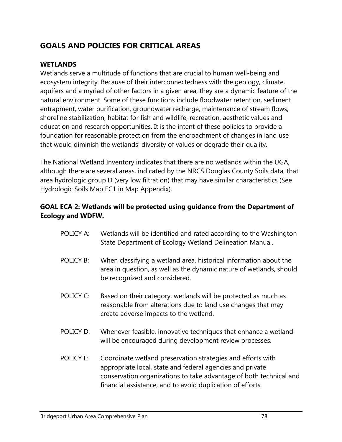# **GOALS AND POLICIES FOR CRITICAL AREAS**

### **WETLANDS**

Wetlands serve a multitude of functions that are crucial to human well-being and ecosystem integrity. Because of their interconnectedness with the geology, climate, aquifers and a myriad of other factors in a given area, they are a dynamic feature of the natural environment. Some of these functions include floodwater retention, sediment entrapment, water purification, groundwater recharge, maintenance of stream flows, shoreline stabilization, habitat for fish and wildlife, recreation, aesthetic values and education and research opportunities. It is the intent of these policies to provide a foundation for reasonable protection from the encroachment of changes in land use that would diminish the wetlands' diversity of values or degrade their quality.

The National Wetland Inventory indicates that there are no wetlands within the UGA, although there are several areas, indicated by the NRCS Douglas County Soils data, that area hydrologic group D (very low filtration) that may have similar characteristics (See Hydrologic Soils Map EC1 in Map Appendix).

### **GOAL ECA 2: Wetlands will be protected using guidance from the Department of Ecology and WDFW.**

- POLICY A: Wetlands will be identified and rated according to the Washington State Department of Ecology Wetland Delineation Manual.
- POLICY B: When classifying a wetland area, historical information about the area in question, as well as the dynamic nature of wetlands, should be recognized and considered.
- POLICY C: Based on their category, wetlands will be protected as much as reasonable from alterations due to land use changes that may create adverse impacts to the wetland.
- POLICY D: Whenever feasible, innovative techniques that enhance a wetland will be encouraged during development review processes.
- POLICY E: Coordinate wetland preservation strategies and efforts with appropriate local, state and federal agencies and private conservation organizations to take advantage of both technical and financial assistance, and to avoid duplication of efforts.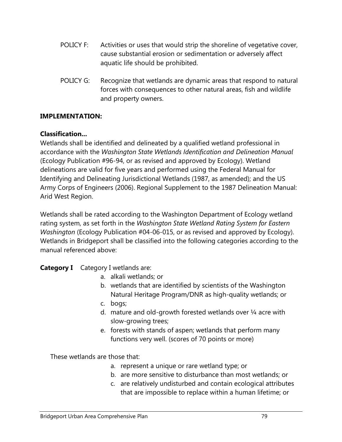- POLICY F: Activities or uses that would strip the shoreline of vegetative cover, cause substantial erosion or sedimentation or adversely affect aquatic life should be prohibited.
- POLICY G: Recognize that wetlands are dynamic areas that respond to natural forces with consequences to other natural areas, fish and wildlife and property owners.

#### **IMPLEMENTATION:**

#### **Classification...**

Wetlands shall be identified and delineated by a qualified wetland professional in accordance with the *Washington State Wetlands Identification and Delineation Manual*  (Ecology Publication #96-94, or as revised and approved by Ecology). Wetland delineations are valid for five years and performed using the Federal Manual for Identifying and Delineating Jurisdictional Wetlands (1987, as amended); and the US Army Corps of Engineers (2006). Regional Supplement to the 1987 Delineation Manual: Arid West Region.

Wetlands shall be rated according to the Washington Department of Ecology wetland rating system, as set forth in the *Washington State Wetland Rating System for Eastern Washington* (Ecology Publication #04-06-015, or as revised and approved by Ecology). Wetlands in Bridgeport shall be classified into the following categories according to the manual referenced above:

### **Category I** Category I wetlands are:

- a. alkali wetlands; or
- b. wetlands that are identified by scientists of the Washington Natural Heritage Program/DNR as high-quality wetlands; or
- c. bogs;
- d. mature and old-growth forested wetlands over  $\frac{1}{4}$  acre with slow-growing trees;
- e. forests with stands of aspen; wetlands that perform many functions very well. (scores of 70 points or more)

These wetlands are those that:

- a. represent a unique or rare wetland type; or
- b. are more sensitive to disturbance than most wetlands; or
- c. are relatively undisturbed and contain ecological attributes that are impossible to replace within a human lifetime; or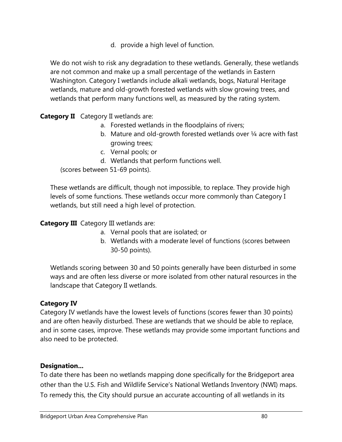d. provide a high level of function.

We do not wish to risk any degradation to these wetlands. Generally, these wetlands are not common and make up a small percentage of the wetlands in Eastern Washington. Category I wetlands include alkali wetlands, bogs, Natural Heritage wetlands, mature and old-growth forested wetlands with slow growing trees, and wetlands that perform many functions well, as measured by the rating system.

# **Category II** Category II wetlands are:

- a. Forested wetlands in the floodplains of rivers;
- b. Mature and old-growth forested wetlands over 1/4 acre with fast growing trees;
- c. Vernal pools; or
- d. Wetlands that perform functions well.

(scores between 51-69 points).

These wetlands are difficult, though not impossible, to replace. They provide high levels of some functions. These wetlands occur more commonly than Category I wetlands, but still need a high level of protection.

### **Category III** Category III wetlands are:

- a. Vernal pools that are isolated; or
- b. Wetlands with a moderate level of functions (scores between 30-50 points).

Wetlands scoring between 30 and 50 points generally have been disturbed in some ways and are often less diverse or more isolated from other natural resources in the landscape that Category II wetlands.

### **Category IV**

Category IV wetlands have the lowest levels of functions (scores fewer than 30 points) and are often heavily disturbed. These are wetlands that we should be able to replace, and in some cases, improve. These wetlands may provide some important functions and also need to be protected.

#### **Designation...**

To date there has been no wetlands mapping done specifically for the Bridgeport area other than the U.S. Fish and Wildlife Service's National Wetlands Inventory (NWI) maps. To remedy this, the City should pursue an accurate accounting of all wetlands in its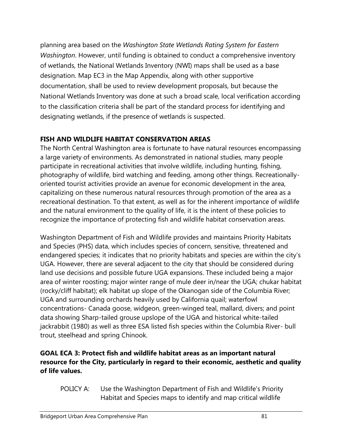planning area based on the *Washington State Wetlands Rating System for Eastern Washington*. However, until funding is obtained to conduct a comprehensive inventory of wetlands, the National Wetlands Inventory (NWI) maps shall be used as a base designation. Map EC3 in the Map Appendix, along with other supportive documentation, shall be used to review development proposals, but because the National Wetlands Inventory was done at such a broad scale, local verification according to the classification criteria shall be part of the standard process for identifying and designating wetlands, if the presence of wetlands is suspected.

# **FISH AND WILDLIFE HABITAT CONSERVATION AREAS**

The North Central Washington area is fortunate to have natural resources encompassing a large variety of environments. As demonstrated in national studies, many people participate in recreational activities that involve wildlife, including hunting, fishing, photography of wildlife, bird watching and feeding, among other things. Recreationallyoriented tourist activities provide an avenue for economic development in the area, capitalizing on these numerous natural resources through promotion of the area as a recreational destination. To that extent, as well as for the inherent importance of wildlife and the natural environment to the quality of life, it is the intent of these policies to recognize the importance of protecting fish and wildlife habitat conservation areas.

Washington Department of Fish and Wildlife provides and maintains Priority Habitats and Species (PHS) data, which includes species of concern, sensitive, threatened and endangered species; it indicates that no priority habitats and species are within the city's UGA. However, there are several adjacent to the city that should be considered during land use decisions and possible future UGA expansions. These included being a major area of winter roosting; major winter range of mule deer in/near the UGA; chukar habitat (rocky/cliff habitat); elk habitat up slope of the Okanogan side of the Columbia River; UGA and surrounding orchards heavily used by California quail; waterfowl concentrations- Canada goose, widgeon, green-winged teal, mallard, divers; and point data showing Sharp-tailed grouse upslope of the UGA and historical white-tailed jackrabbit (1980) as well as three ESA listed fish species within the Columbia River- bull trout, steelhead and spring Chinook.

# **GOAL ECA 3: Protect fish and wildlife habitat areas as an important natural resource for the City, particularly in regard to their economic, aesthetic and quality of life values.**

POLICY A: Use the Washington Department of Fish and Wildlife's Priority Habitat and Species maps to identify and map critical wildlife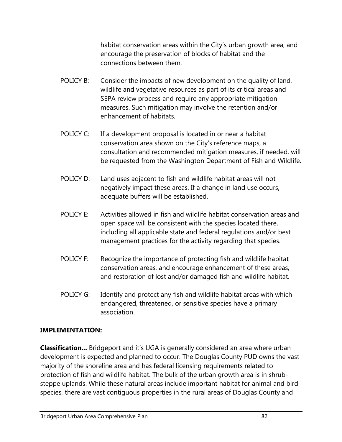habitat conservation areas within the City's urban growth area, and encourage the preservation of blocks of habitat and the connections between them.

- POLICY B: Consider the impacts of new development on the quality of land, wildlife and vegetative resources as part of its critical areas and SEPA review process and require any appropriate mitigation measures. Such mitigation may involve the retention and/or enhancement of habitats.
- POLICY C: If a development proposal is located in or near a habitat conservation area shown on the City's reference maps, a consultation and recommended mitigation measures, if needed, will be requested from the Washington Department of Fish and Wildlife.
- POLICY D: Land uses adjacent to fish and wildlife habitat areas will not negatively impact these areas. If a change in land use occurs, adequate buffers will be established.
- POLICY E: Activities allowed in fish and wildlife habitat conservation areas and open space will be consistent with the species located there, including all applicable state and federal regulations and/or best management practices for the activity regarding that species.
- POLICY F: Recognize the importance of protecting fish and wildlife habitat conservation areas, and encourage enhancement of these areas, and restoration of lost and/or damaged fish and wildlife habitat.
- POLICY G: Identify and protect any fish and wildlife habitat areas with which endangered, threatened, or sensitive species have a primary association.

### **IMPLEMENTATION:**

**Classification...** Bridgeport and it's UGA is generally considered an area where urban development is expected and planned to occur. The Douglas County PUD owns the vast majority of the shoreline area and has federal licensing requirements related to protection of fish and wildlife habitat. The bulk of the urban growth area is in shrubsteppe uplands. While these natural areas include important habitat for animal and bird species, there are vast contiguous properties in the rural areas of Douglas County and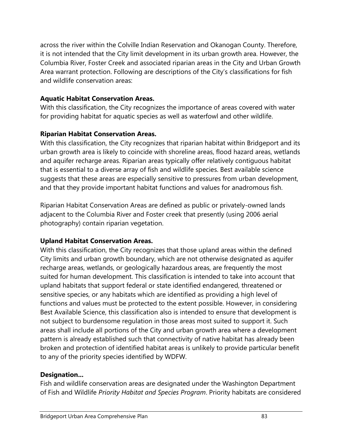across the river within the Colville Indian Reservation and Okanogan County. Therefore, it is not intended that the City limit development in its urban growth area. However, the Columbia River, Foster Creek and associated riparian areas in the City and Urban Growth Area warrant protection. Following are descriptions of the City's classifications for fish and wildlife conservation areas:

# **Aquatic Habitat Conservation Areas.**

With this classification, the City recognizes the importance of areas covered with water for providing habitat for aquatic species as well as waterfowl and other wildlife.

# **Riparian Habitat Conservation Areas.**

With this classification, the City recognizes that riparian habitat within Bridgeport and its urban growth area is likely to coincide with shoreline areas, flood hazard areas, wetlands and aquifer recharge areas. Riparian areas typically offer relatively contiguous habitat that is essential to a diverse array of fish and wildlife species. Best available science suggests that these areas are especially sensitive to pressures from urban development, and that they provide important habitat functions and values for anadromous fish.

Riparian Habitat Conservation Areas are defined as public or privately-owned lands adjacent to the Columbia River and Foster creek that presently (using 2006 aerial photography) contain riparian vegetation.

# **Upland Habitat Conservation Areas.**

With this classification, the City recognizes that those upland areas within the defined City limits and urban growth boundary, which are not otherwise designated as aquifer recharge areas, wetlands, or geologically hazardous areas, are frequently the most suited for human development. This classification is intended to take into account that upland habitats that support federal or state identified endangered, threatened or sensitive species, or any habitats which are identified as providing a high level of functions and values must be protected to the extent possible. However, in considering Best Available Science, this classification also is intended to ensure that development is not subject to burdensome regulation in those areas most suited to support it. Such areas shall include all portions of the City and urban growth area where a development pattern is already established such that connectivity of native habitat has already been broken and protection of identified habitat areas is unlikely to provide particular benefit to any of the priority species identified by WDFW.

### **Designation...**

Fish and wildlife conservation areas are designated under the Washington Department of Fish and Wildlife *Priority Habitat and Species Program*. Priority habitats are considered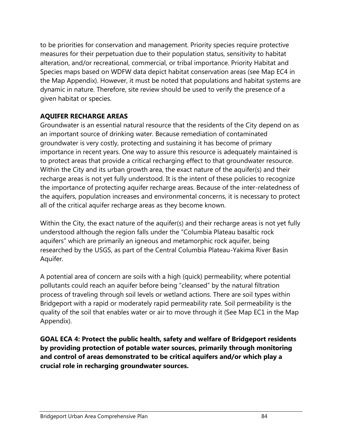to be priorities for conservation and management. Priority species require protective measures for their perpetuation due to their population status, sensitivity to habitat alteration, and/or recreational, commercial, or tribal importance. Priority Habitat and Species maps based on WDFW data depict habitat conservation areas (see Map EC4 in the Map Appendix). However, it must be noted that populations and habitat systems are dynamic in nature. Therefore, site review should be used to verify the presence of a given habitat or species.

# **AQUIFER RECHARGE AREAS**

Groundwater is an essential natural resource that the residents of the City depend on as an important source of drinking water. Because remediation of contaminated groundwater is very costly, protecting and sustaining it has become of primary importance in recent years. One way to assure this resource is adequately maintained is to protect areas that provide a critical recharging effect to that groundwater resource. Within the City and its urban growth area, the exact nature of the aquifer(s) and their recharge areas is not yet fully understood. It is the intent of these policies to recognize the importance of protecting aquifer recharge areas. Because of the inter-relatedness of the aquifers, population increases and environmental concerns, it is necessary to protect all of the critical aquifer recharge areas as they become known.

Within the City, the exact nature of the aquifer(s) and their recharge areas is not yet fully understood although the region falls under the "Columbia Plateau basaltic rock aquifers" which are primarily an igneous and metamorphic rock aquifer, being researched by the USGS, as part of the Central Columbia Plateau-Yakima River Basin Aquifer.

A potential area of concern are soils with a high (quick) permeability; where potential pollutants could reach an aquifer before being "cleansed" by the natural filtration process of traveling through soil levels or wetland actions. There are soil types within Bridgeport with a rapid or moderately rapid permeability rate. Soil permeability is the quality of the soil that enables water or air to move through it (See Map EC1 in the Map Appendix).

**GOAL ECA 4: Protect the public health, safety and welfare of Bridgeport residents by providing protection of potable water sources, primarily through monitoring and control of areas demonstrated to be critical aquifers and/or which play a crucial role in recharging groundwater sources.**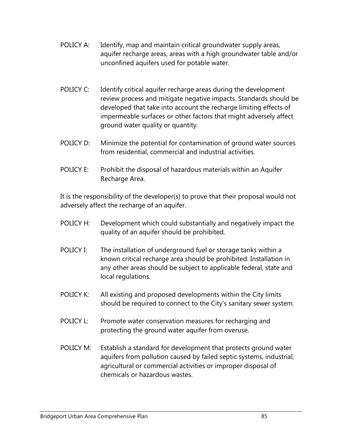- POLICY A: Identify, map and maintain critical groundwater supply areas, aquifer recharge areas, areas with a high groundwater table and/or unconfined aquifers used for potable water.
- POLICY C: Identify critical aquifer recharge areas during the development review process and mitigate negative impacts. Standards should be developed that take into account the recharge limiting effects of impermeable surfaces or other factors that might adversely affect ground water quality or quantity.
- POLICY D: Minimize the potential for contamination of ground water sources from residential, commercial and industrial activities.
- POLICY E: Prohibit the disposal of hazardous materials within an Aquifer Recharge Area.

It is the responsibility of the developer(s) to prove that their proposal would not adversely affect the recharge of an aquifer.

- POLICY H: Development which could substantially and negatively impact the quality of an aquifer should be prohibited.
- POLICY I: The installation of underground fuel or storage tanks within a known critical recharge area should be prohibited. Installation in any other areas should be subject to applicable federal, state and local regulations.
- POLICY K: All existing and proposed developments within the City limits should be required to connect to the City's sanitary sewer system.
- POLICY L: Promote water conservation measures for recharging and protecting the ground water aquifer from overuse.
- POLICY M: Establish a standard for development that protects ground water aquifers from pollution caused by failed septic systems, industrial, agricultural or commercial activities or improper disposal of chemicals or hazardous wastes.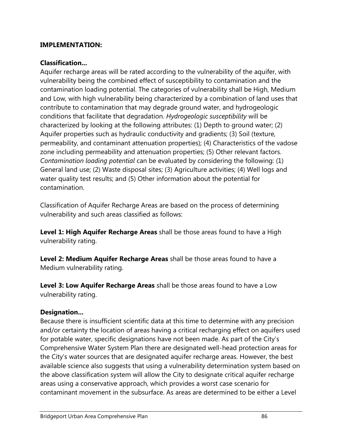#### **IMPLEMENTATION:**

#### **Classification...**

Aquifer recharge areas will be rated according to the vulnerability of the aquifer, with vulnerability being the combined effect of susceptibility to contamination and the contamination loading potential. The categories of vulnerability shall be High, Medium and Low, with high vulnerability being characterized by a combination of land uses that contribute to contamination that may degrade ground water, and hydrogeologic conditions that facilitate that degradation. *Hydrogeologic susceptibility* will be characterized by looking at the following attributes: (1) Depth to ground water; (2) Aquifer properties such as hydraulic conductivity and gradients; (3) Soil (texture, permeability, and contaminant attenuation properties); (4) Characteristics of the vadose zone including permeability and attenuation properties; (5) Other relevant factors. *Contamination loading potential* can be evaluated by considering the following: (1) General land use; (2) Waste disposal sites; (3) Agriculture activities; (4) Well logs and water quality test results; and (5) Other information about the potential for contamination.

Classification of Aquifer Recharge Areas are based on the process of determining vulnerability and such areas classified as follows:

**Level 1: High Aquifer Recharge Areas** shall be those areas found to have a High vulnerability rating.

**Level 2: Medium Aquifer Recharge Areas** shall be those areas found to have a Medium vulnerability rating.

**Level 3: Low Aquifer Recharge Areas** shall be those areas found to have a Low vulnerability rating.

### **Designation...**

Because there is insufficient scientific data at this time to determine with any precision and/or certainty the location of areas having a critical recharging effect on aquifers used for potable water, specific designations have not been made. As part of the City's Comprehensive Water System Plan there are designated well-head protection areas for the City's water sources that are designated aquifer recharge areas. However, the best available science also suggests that using a vulnerability determination system based on the above classification system will allow the City to designate critical aquifer recharge areas using a conservative approach, which provides a worst case scenario for contaminant movement in the subsurface. As areas are determined to be either a Level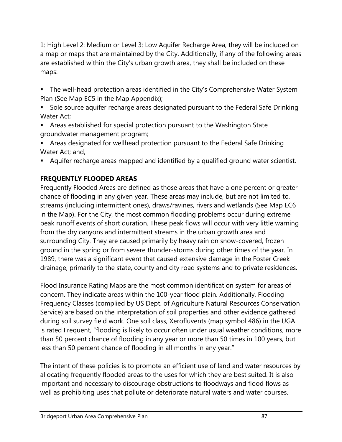1: High Level 2: Medium or Level 3: Low Aquifer Recharge Area, they will be included on a map or maps that are maintained by the City. Additionally, if any of the following areas are established within the City's urban growth area, they shall be included on these maps:

- The well-head protection areas identified in the City's Comprehensive Water System Plan (See Map EC5 in the Map Appendix);
- Sole source aquifer recharge areas designated pursuant to the Federal Safe Drinking Water Act;
- Areas established for special protection pursuant to the Washington State groundwater management program;
- Areas designated for wellhead protection pursuant to the Federal Safe Drinking Water Act; and,
- Aquifer recharge areas mapped and identified by a qualified ground water scientist.

# **FREQUENTLY FLOODED AREAS**

Frequently Flooded Areas are defined as those areas that have a one percent or greater chance of flooding in any given year. These areas may include, but are not limited to, streams (including intermittent ones), draws/ravines, rivers and wetlands (See Map EC6 in the Map). For the City, the most common flooding problems occur during extreme peak runoff events of short duration. These peak flows will occur with very little warning from the dry canyons and intermittent streams in the urban growth area and surrounding City. They are caused primarily by heavy rain on snow-covered, frozen ground in the spring or from severe thunder-storms during other times of the year. In 1989, there was a significant event that caused extensive damage in the Foster Creek drainage, primarily to the state, county and city road systems and to private residences.

Flood Insurance Rating Maps are the most common identification system for areas of concern. They indicate areas within the 100-year flood plain. Additionally, Flooding Frequency Classes (complied by US Dept. of Agriculture Natural Resources Conservation Service) are based on the interpretation of soil properties and other evidence gathered during soil survey field work. One soil class, Xerofluvents (map symbol 486) in the UGA is rated Frequent, "flooding is likely to occur often under usual weather conditions, more than 50 percent chance of flooding in any year or more than 50 times in 100 years, but less than 50 percent chance of flooding in all months in any year."

The intent of these policies is to promote an efficient use of land and water resources by allocating frequently flooded areas to the uses for which they are best suited. It is also important and necessary to discourage obstructions to floodways and flood flows as well as prohibiting uses that pollute or deteriorate natural waters and water courses.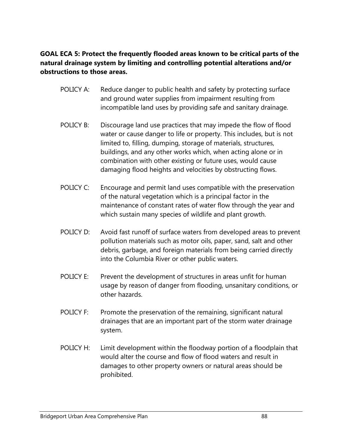# **GOAL ECA 5: Protect the frequently flooded areas known to be critical parts of the natural drainage system by limiting and controlling potential alterations and/or obstructions to those areas.**

- POLICY A: Reduce danger to public health and safety by protecting surface and ground water supplies from impairment resulting from incompatible land uses by providing safe and sanitary drainage.
- POLICY B: Discourage land use practices that may impede the flow of flood water or cause danger to life or property. This includes, but is not limited to, filling, dumping, storage of materials, structures, buildings, and any other works which, when acting alone or in combination with other existing or future uses, would cause damaging flood heights and velocities by obstructing flows.
- POLICY C: Encourage and permit land uses compatible with the preservation of the natural vegetation which is a principal factor in the maintenance of constant rates of water flow through the year and which sustain many species of wildlife and plant growth.
- POLICY D: Avoid fast runoff of surface waters from developed areas to prevent pollution materials such as motor oils, paper, sand, salt and other debris, garbage, and foreign materials from being carried directly into the Columbia River or other public waters.
- POLICY E: Prevent the development of structures in areas unfit for human usage by reason of danger from flooding, unsanitary conditions, or other hazards.
- POLICY F: Promote the preservation of the remaining, significant natural drainages that are an important part of the storm water drainage system.
- POLICY H: Limit development within the floodway portion of a floodplain that would alter the course and flow of flood waters and result in damages to other property owners or natural areas should be prohibited.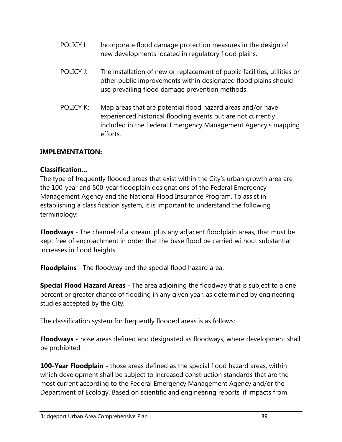- POLICY I: Incorporate flood damage protection measures in the design of new developments located in regulatory flood plains.
- POLICY J: The installation of new or replacement of public facilities, utilities or other public improvements within designated flood plains should use prevailing flood damage prevention methods.
- POLICY K: Map areas that are potential flood hazard areas and/or have experienced historical flooding events but are not currently included in the Federal Emergency Management Agency's mapping efforts.

#### **IMPLEMENTATION:**

#### **Classification...**

The type of frequently flooded areas that exist within the City's urban growth area are the 100-year and 500-year floodplain designations of the Federal Emergency Management Agency and the National Flood Insurance Program. To assist in establishing a classification system, it is important to understand the following terminology:

**Floodways** - The channel of a stream, plus any adjacent floodplain areas, that must be kept free of encroachment in order that the base flood be carried without substantial increases in flood heights.

**Floodplains** - The floodway and the special flood hazard area.

**Special Flood Hazard Areas** - The area adjoining the floodway that is subject to a one percent or greater chance of flooding in any given year, as determined by engineering studies accepted by the City.

The classification system for frequently flooded areas is as follows:

**Floodways -**those areas defined and designated as floodways, where development shall be prohibited.

**100-Year Floodplain -** those areas defined as the special flood hazard areas, within which development shall be subject to increased construction standards that are the most current according to the Federal Emergency Management Agency and/or the Department of Ecology. Based on scientific and engineering reports, if impacts from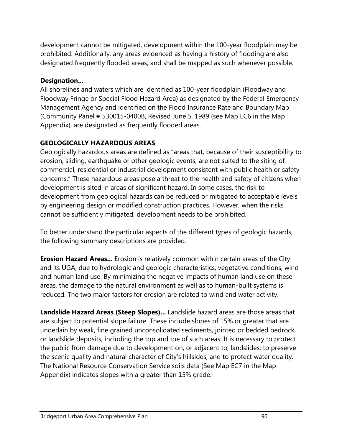development cannot be mitigated, development within the 100-year floodplain may be prohibited. Additionally, any areas evidenced as having a history of flooding are also designated frequently flooded areas, and shall be mapped as such whenever possible.

# **Designation...**

All shorelines and waters which are identified as 100-year floodplain (Floodway and Floodway Fringe or Special Flood Hazard Area) as designated by the Federal Emergency Management Agency and identified on the Flood Insurance Rate and Boundary Map (Community Panel # 530015-0400B, Revised June 5, 1989 (see Map EC6 in the Map Appendix), are designated as frequently flooded areas.

# **GEOLOGICALLY HAZARDOUS AREAS**

Geologically hazardous areas are defined as "areas that, because of their susceptibility to erosion, sliding, earthquake or other geologic events, are not suited to the siting of commercial, residential or industrial development consistent with public health or safety concerns." These hazardous areas pose a threat to the health and safety of citizens when development is sited in areas of significant hazard. In some cases, the risk to development from geological hazards can be reduced or mitigated to acceptable levels by engineering design or modified construction practices. However, when the risks cannot be sufficiently mitigated, development needs to be prohibited.

To better understand the particular aspects of the different types of geologic hazards, the following summary descriptions are provided.

**Erosion Hazard Areas...** Erosion is relatively common within certain areas of the City and its UGA, due to hydrologic and geologic characteristics, vegetative conditions, wind and human land use. By minimizing the negative impacts of human land use on these areas, the damage to the natural environment as well as to human-built systems is reduced. The two major factors for erosion are related to wind and water activity.

**Landslide Hazard Areas (Steep Slopes)...** Landslide hazard areas are those areas that are subject to potential slope failure. These include slopes of 15% or greater that are underlain by weak, fine grained unconsolidated sediments, jointed or bedded bedrock, or landslide deposits, including the top and toe of such areas. It is necessary to protect the public from damage due to development on, or adjacent to, landslides; to preserve the scenic quality and natural character of City's hillsides; and to protect water quality. The National Resource Conservation Service soils data (See Map EC7 in the Map Appendix) indicates slopes with a greater than 15% grade.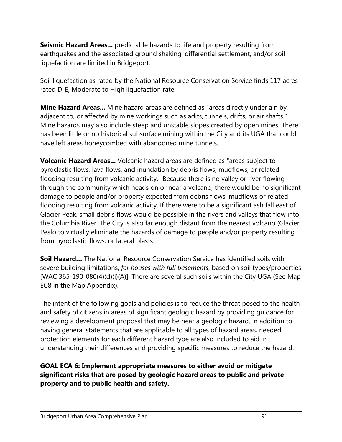**Seismic Hazard Areas...** predictable hazards to life and property resulting from earthquakes and the associated ground shaking, differential settlement, and/or soil liquefaction are limited in Bridgeport.

Soil liquefaction as rated by the National Resource Conservation Service finds 117 acres rated D-E, Moderate to High liquefaction rate.

**Mine Hazard Areas...** Mine hazard areas are defined as "areas directly underlain by, adjacent to, or affected by mine workings such as adits, tunnels, drifts, or air shafts." Mine hazards may also include steep and unstable slopes created by open mines. There has been little or no historical subsurface mining within the City and its UGA that could have left areas honeycombed with abandoned mine tunnels.

**Volcanic Hazard Areas...** Volcanic hazard areas are defined as "areas subject to pyroclastic flows, lava flows, and inundation by debris flows, mudflows, or related flooding resulting from volcanic activity." Because there is no valley or river flowing through the community which heads on or near a volcano, there would be no significant damage to people and/or property expected from debris flows, mudflows or related flooding resulting from volcanic activity. If there were to be a significant ash fall east of Glacier Peak, small debris flows would be possible in the rivers and valleys that flow into the Columbia River. The City is also far enough distant from the nearest volcano (Glacier Peak) to virtually eliminate the hazards of damage to people and/or property resulting from pyroclastic flows, or lateral blasts.

**Soil Hazard…** The National Resource Conservation Service has identified soils with severe building limitations, *for houses with full basements*, based on soil types/properties [WAC 365-190-080(4)(d)(i)(A)]. There are several such soils within the City UGA (See Map EC8 in the Map Appendix).

The intent of the following goals and policies is to reduce the threat posed to the health and safety of citizens in areas of significant geologic hazard by providing guidance for reviewing a development proposal that may be near a geologic hazard. In addition to having general statements that are applicable to all types of hazard areas, needed protection elements for each different hazard type are also included to aid in understanding their differences and providing specific measures to reduce the hazard.

# **GOAL ECA 6: Implement appropriate measures to either avoid or mitigate significant risks that are posed by geologic hazard areas to public and private property and to public health and safety.**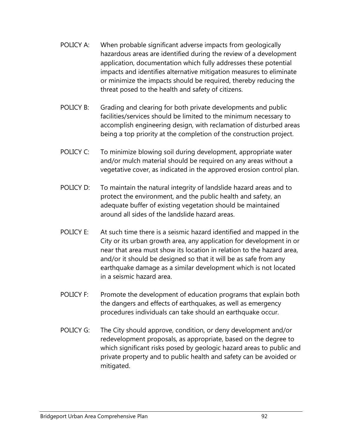- POLICY A: When probable significant adverse impacts from geologically hazardous areas are identified during the review of a development application, documentation which fully addresses these potential impacts and identifies alternative mitigation measures to eliminate or minimize the impacts should be required, thereby reducing the threat posed to the health and safety of citizens.
- POLICY B: Grading and clearing for both private developments and public facilities/services should be limited to the minimum necessary to accomplish engineering design, with reclamation of disturbed areas being a top priority at the completion of the construction project.
- POLICY C: To minimize blowing soil during development, appropriate water and/or mulch material should be required on any areas without a vegetative cover, as indicated in the approved erosion control plan.
- POLICY D: To maintain the natural integrity of landslide hazard areas and to protect the environment, and the public health and safety, an adequate buffer of existing vegetation should be maintained around all sides of the landslide hazard areas.
- POLICY E: At such time there is a seismic hazard identified and mapped in the City or its urban growth area, any application for development in or near that area must show its location in relation to the hazard area, and/or it should be designed so that it will be as safe from any earthquake damage as a similar development which is not located in a seismic hazard area.
- POLICY F: Promote the development of education programs that explain both the dangers and effects of earthquakes, as well as emergency procedures individuals can take should an earthquake occur.
- POLICY G: The City should approve, condition, or deny development and/or redevelopment proposals, as appropriate, based on the degree to which significant risks posed by geologic hazard areas to public and private property and to public health and safety can be avoided or mitigated.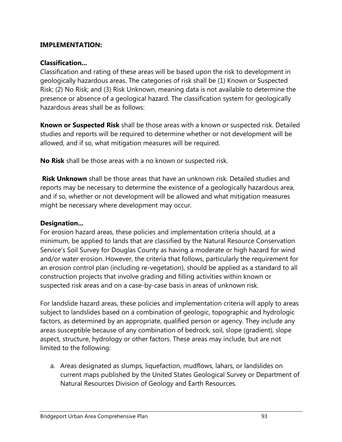#### **IMPLEMENTATION:**

#### **Classification...**

Classification and rating of these areas will be based upon the risk to development in geologically hazardous areas. The categories of risk shall be (1) Known or Suspected Risk; (2) No Risk; and (3) Risk Unknown, meaning data is not available to determine the presence or absence of a geological hazard. The classification system for geologically hazardous areas shall be as follows:

**Known or Suspected Risk** shall be those areas with a known or suspected risk. Detailed studies and reports will be required to determine whether or not development will be allowed, and if so, what mitigation measures will be required.

**No Risk** shall be those areas with a no known or suspected risk.

**Risk Unknown** shall be those areas that have an unknown risk. Detailed studies and reports may be necessary to determine the existence of a geologically hazardous area, and if so, whether or not development will be allowed and what mitigation measures might be necessary where development may occur.

#### **Designation...**

For erosion hazard areas, these policies and implementation criteria should, at a minimum, be applied to lands that are classified by the Natural Resource Conservation Service's Soil Survey for Douglas County as having a moderate or high hazard for wind and/or water erosion. However, the criteria that follows, particularly the requirement for an erosion control plan (including re-vegetation), should be applied as a standard to all construction projects that involve grading and filling activities within known or suspected risk areas and on a case-by-case basis in areas of unknown risk.

For landslide hazard areas, these policies and implementation criteria will apply to areas subject to landslides based on a combination of geologic, topographic and hydrologic factors, as determined by an appropriate, qualified person or agency. They include any areas susceptible because of any combination of bedrock, soil, slope (gradient), slope aspect, structure, hydrology or other factors. These areas may include, but are not limited to the following:

a. Areas designated as slumps, liquefaction, mudflows, lahars, or landslides on current maps published by the United States Geological Survey or Department of Natural Resources Division of Geology and Earth Resources.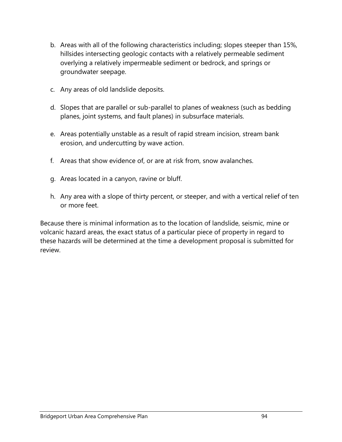- b. Areas with all of the following characteristics including; slopes steeper than 15%, hillsides intersecting geologic contacts with a relatively permeable sediment overlying a relatively impermeable sediment or bedrock, and springs or groundwater seepage.
- c. Any areas of old landslide deposits.
- d. Slopes that are parallel or sub-parallel to planes of weakness (such as bedding planes, joint systems, and fault planes) in subsurface materials.
- e. Areas potentially unstable as a result of rapid stream incision, stream bank erosion, and undercutting by wave action.
- f. Areas that show evidence of, or are at risk from, snow avalanches.
- g. Areas located in a canyon, ravine or bluff.
- h. Any area with a slope of thirty percent, or steeper, and with a vertical relief of ten or more feet.

Because there is minimal information as to the location of landslide, seismic, mine or volcanic hazard areas, the exact status of a particular piece of property in regard to these hazards will be determined at the time a development proposal is submitted for review.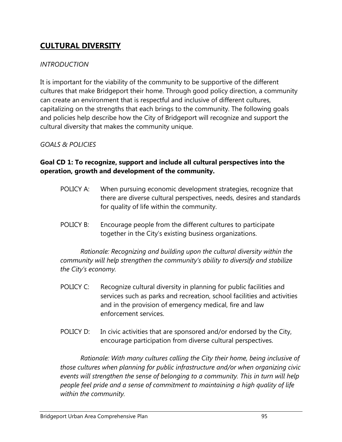# **CULTURAL DIVERSITY**

### *INTRODUCTION*

It is important for the viability of the community to be supportive of the different cultures that make Bridgeport their home. Through good policy direction, a community can create an environment that is respectful and inclusive of different cultures, capitalizing on the strengths that each brings to the community. The following goals and policies help describe how the City of Bridgeport will recognize and support the cultural diversity that makes the community unique.

# *GOALS & POLICIES*

# **Goal CD 1: To recognize, support and include all cultural perspectives into the operation, growth and development of the community.**

- POLICY A: When pursuing economic development strategies, recognize that there are diverse cultural perspectives, needs, desires and standards for quality of life within the community.
- POLICY B: Encourage people from the different cultures to participate together in the City's existing business organizations.

*Rationale: Recognizing and building upon the cultural diversity within the community will help strengthen the community's ability to diversify and stabilize the City's economy.* 

- POLICY C: Recognize cultural diversity in planning for public facilities and services such as parks and recreation, school facilities and activities and in the provision of emergency medical, fire and law enforcement services.
- POLICY D: In civic activities that are sponsored and/or endorsed by the City, encourage participation from diverse cultural perspectives.

*Rationale: With many cultures calling the City their home, being inclusive of those cultures when planning for public infrastructure and/or when organizing civic events will strengthen the sense of belonging to a community. This in turn will help people feel pride and a sense of commitment to maintaining a high quality of life within the community.*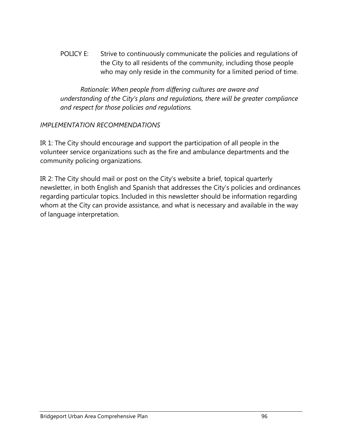POLICY E: Strive to continuously communicate the policies and regulations of the City to all residents of the community, including those people who may only reside in the community for a limited period of time.

*Rationale: When people from differing cultures are aware and understanding of the City's plans and regulations, there will be greater compliance and respect for those policies and regulations.* 

# *IMPLEMENTATION RECOMMENDATIONS*

IR 1: The City should encourage and support the participation of all people in the volunteer service organizations such as the fire and ambulance departments and the community policing organizations.

IR 2: The City should mail or post on the City's website a brief, topical quarterly newsletter, in both English and Spanish that addresses the City's policies and ordinances regarding particular topics. Included in this newsletter should be information regarding whom at the City can provide assistance, and what is necessary and available in the way of language interpretation.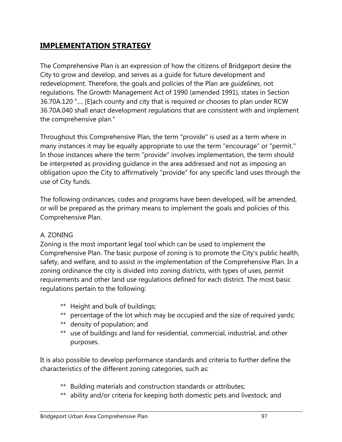# **IMPLEMENTATION STRATEGY**

The Comprehensive Plan is an expression of how the citizens of Bridgeport desire the City to grow and develop, and serves as a guide for future development and redevelopment. Therefore, the goals and policies of the Plan are *guidelines*, not regulations. The Growth Management Act of 1990 (amended 1991), states in Section 36.70A.120 ".... [E]ach county and city that is required or chooses to plan under RCW 36.70A.040 shall enact development regulations that are consistent with and implement the comprehensive plan."

Throughout this Comprehensive Plan, the term "provide" is used as a term where in many instances it may be equally appropriate to use the term "encourage" or "permit." In those instances where the term "provide" involves implementation, the term should be interpreted as providing guidance in the area addressed and not as imposing an obligation upon the City to affirmatively "provide" for any specific land uses through the use of City funds.

The following ordinances, codes and programs have been developed, will be amended, or will be prepared as the primary means to implement the goals and policies of this Comprehensive Plan.

### A. ZONING

Zoning is the most important legal tool which can be used to implement the Comprehensive Plan. The basic purpose of zoning is to promote the City's public health, safety, and welfare, and to assist in the implementation of the Comprehensive Plan. In a zoning ordinance the city is divided into zoning districts, with types of uses, permit requirements and other land use regulations defined for each district. The most basic regulations pertain to the following:

- \*\* Height and bulk of buildings;
- \*\* percentage of the lot which may be occupied and the size of required yards;
- \*\* density of population; and
- \*\* use of buildings and land for residential, commercial, industrial, and other purposes.

It is also possible to develop performance standards and criteria to further define the characteristics of the different zoning categories, such as:

- \*\* Building materials and construction standards or attributes;
- \*\* ability and/or criteria for keeping both domestic pets and livestock; and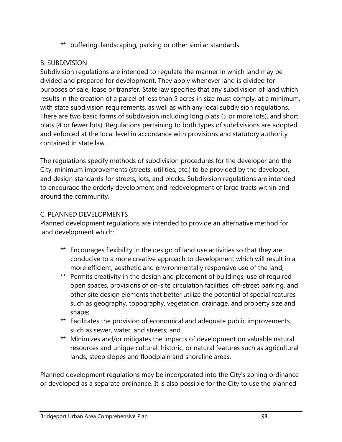\*\* buffering, landscaping, parking or other similar standards.

# B. SUBDIVISION

Subdivision regulations are intended to regulate the manner in which land may be divided and prepared for development. They apply whenever land is divided for purposes of sale, lease or transfer. State law specifies that any subdivision of land which results in the creation of a parcel of less than 5 acres in size must comply, at a minimum, with state subdivision requirements, as well as with any local subdivision regulations. There are two basic forms of subdivision including long plats (5 or more lots), and short plats (4 or fewer lots). Regulations pertaining to both types of subdivisions are adopted and enforced at the local level in accordance with provisions and statutory authority contained in state law.

The regulations specify methods of subdivision procedures for the developer and the City, minimum improvements (streets, utilities, etc.) to be provided by the developer, and design standards for streets, lots, and blocks. Subdivision regulations are intended to encourage the orderly development and redevelopment of large tracts within and around the community.

### C. PLANNED DEVELOPMENTS

Planned development regulations are intended to provide an alternative method for land development which:

- \*\* Encourages flexibility in the design of land use activities so that they are conducive to a more creative approach to development which will result in a more efficient, aesthetic and environmentally responsive use of the land;
- \*\* Permits creativity in the design and placement of buildings, use of required open spaces, provisions of on-site circulation facilities, off-street parking, and other site design elements that better utilize the potential of special features such as geography, topography, vegetation, drainage, and property size and shape;
- \*\* Facilitates the provision of economical and adequate public improvements such as sewer, water, and streets; and
- \*\* Minimizes and/or mitigates the impacts of development on valuable natural resources and unique cultural, historic, or natural features such as agricultural lands, steep slopes and floodplain and shoreline areas.

Planned development regulations may be incorporated into the City's zoning ordinance or developed as a separate ordinance. It is also possible for the City to use the planned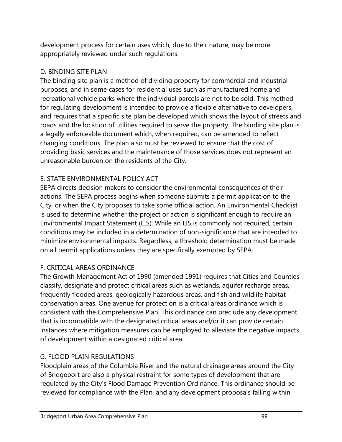development process for certain uses which, due to their nature, may be more appropriately reviewed under such regulations.

# D. BINDING SITE PLAN

The binding site plan is a method of dividing property for commercial and industrial purposes, and in some cases for residential uses such as manufactured home and recreational vehicle parks where the individual parcels are not to be sold. This method for regulating development is intended to provide a flexible alternative to developers, and requires that a specific site plan be developed which shows the layout of streets and roads and the location of utilities required to serve the property. The binding site plan is a legally enforceable document which, when required, can be amended to reflect changing conditions. The plan also must be reviewed to ensure that the cost of providing basic services and the maintenance of those services does not represent an unreasonable burden on the residents of the City.

# E. STATE ENVIRONMENTAL POLICY ACT

SEPA directs decision makers to consider the environmental consequences of their actions. The SEPA process begins when someone submits a permit application to the City, or when the City proposes to take some official action. An Environmental Checklist is used to determine whether the project or action is significant enough to require an Environmental Impact Statement (EIS). While an EIS is commonly not required, certain conditions may be included in a determination of non-significance that are intended to minimize environmental impacts. Regardless, a threshold determination must be made on all permit applications unless they are specifically exempted by SEPA.

# F. CRITICAL AREAS ORDINANCE

The Growth Management Act of 1990 (amended 1991) requires that Cities and Counties classify, designate and protect critical areas such as wetlands, aquifer recharge areas, frequently flooded areas, geologically hazardous areas, and fish and wildlife habitat conservation areas. One avenue for protection is a critical areas ordinance which is consistent with the Comprehensive Plan. This ordinance can preclude any development that is incompatible with the designated critical areas and/or it can provide certain instances where mitigation measures can be employed to alleviate the negative impacts of development within a designated critical area.

# G. FLOOD PLAIN REGULATIONS

Floodplain areas of the Columbia River and the natural drainage areas around the City of Bridgeport are also a physical restraint for some types of development that are regulated by the City's Flood Damage Prevention Ordinance. This ordinance should be reviewed for compliance with the Plan, and any development proposals falling within